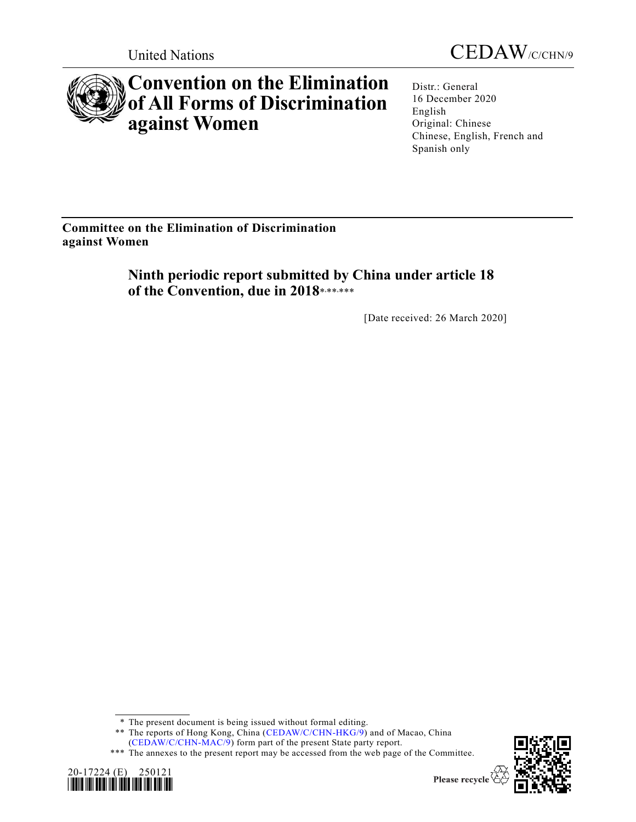



# **Convention on the Elimination of All Forms of Discrimination against Women**

Distr.: General 16 December 2020 English Original: Chinese Chinese, English, French and Spanish only

**Committee on the Elimination of Discrimination against Women**

> **Ninth periodic report submitted by China under article 18**  of the Convention, due in 2018\*,\*\*,\*\*\*

> > [Date received: 26 March 2020]

<sup>\*\*\*</sup> The annexes to the present report may be accessed from the web page of the Committee.





<sup>\*</sup> The present document is being issued without formal editing.

<sup>\*\*</sup> The reports of Hong Kong, China [\(CEDAW/C/CHN-HKG/9\)](https://undocs.org/en/CEDAW/C/CHN-HKG/9) and of Macao, China [\(CEDAW/C/CHN-MAC/9\)](https://undocs.org/en/CEDAW/C/CHN-MAC/9) form part of the present State party report.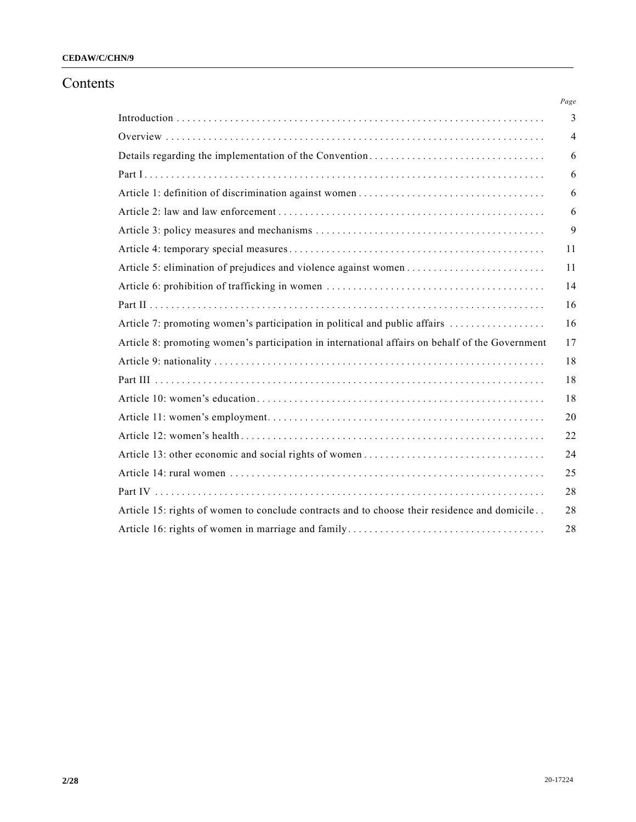# **CEDAW/C/CHN/9**

# Contents

|                                                                                                 | Page |
|-------------------------------------------------------------------------------------------------|------|
|                                                                                                 | 3    |
|                                                                                                 | 4    |
|                                                                                                 | 6    |
|                                                                                                 | 6    |
|                                                                                                 | 6    |
|                                                                                                 | 6    |
|                                                                                                 | 9    |
|                                                                                                 | 11   |
|                                                                                                 | 11   |
|                                                                                                 | 14   |
|                                                                                                 | 16   |
| Article 7: promoting women's participation in political and public affairs                      | 16   |
| Article 8: promoting women's participation in international affairs on behalf of the Government | 17   |
|                                                                                                 | 18   |
|                                                                                                 | 18   |
|                                                                                                 | 18   |
|                                                                                                 | 20   |
|                                                                                                 | 22   |
|                                                                                                 | 24   |
|                                                                                                 | 25   |
|                                                                                                 | 28   |
| Article 15: rights of women to conclude contracts and to choose their residence and domicile    | 28   |
|                                                                                                 | 28   |
|                                                                                                 |      |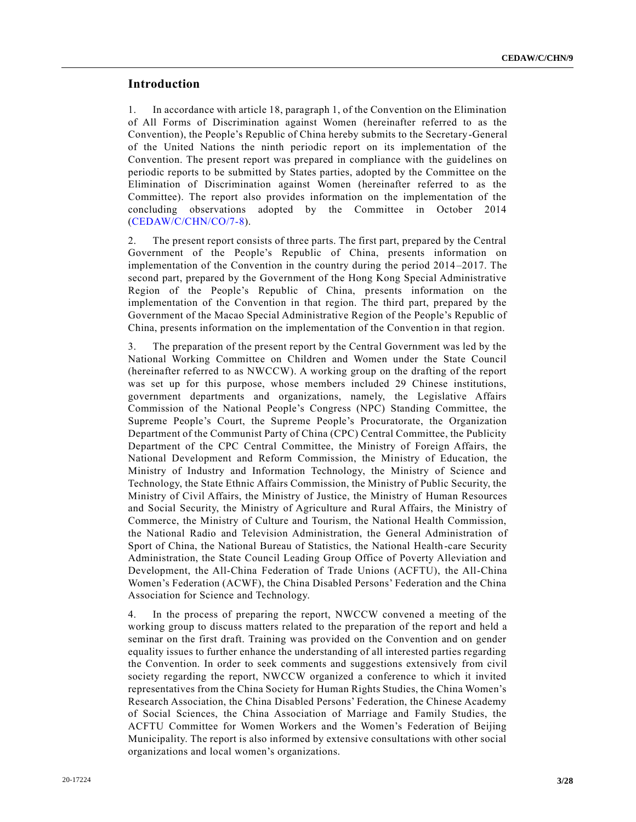## **Introduction**

1. In accordance with article 18, paragraph 1, of the Convention on the Elimination of All Forms of Discrimination against Women (hereinafter referred to as the Convention), the People's Republic of China hereby submits to the Secretary-General of the United Nations the ninth periodic report on its implementation of the Convention. The present report was prepared in compliance with the guidelines on periodic reports to be submitted by States parties, adopted by the Committee on the Elimination of Discrimination against Women (hereinafter referred to as the Committee). The report also provides information on the implementation of the concluding observations adopted by the Committee in October 2014 [\(CEDAW/C/CHN/CO/7-8\)](https://undocs.org/en/CEDAW/C/CHN/CO/7-8).

2. The present report consists of three parts. The first part, prepared by the Central Government of the People's Republic of China, presents information on implementation of the Convention in the country during the period 2014 –2017. The second part, prepared by the Government of the Hong Kong Special Administrative Region of the People's Republic of China, presents information on the implementation of the Convention in that region. The third part, prepared by the Government of the Macao Special Administrative Region of the People's Republic of China, presents information on the implementation of the Convention in that region.

3. The preparation of the present report by the Central Government was led by the National Working Committee on Children and Women under the State Council (hereinafter referred to as NWCCW). A working group on the drafting of the report was set up for this purpose, whose members included 29 Chinese institutions, government departments and organizations, namely, the Legislative Affairs Commission of the National People's Congress (NPC) Standing Committee, the Supreme People's Court, the Supreme People's Procuratorate, the Organization Department of the Communist Party of China (CPC) Central Committee, the Publicity Department of the CPC Central Committee, the Ministry of Foreign Affairs, the National Development and Reform Commission, the Ministry of Education, the Ministry of Industry and Information Technology, the Ministry of Science and Technology, the State Ethnic Affairs Commission, the Ministry of Public Security, the Ministry of Civil Affairs, the Ministry of Justice, the Ministry of Human Resources and Social Security, the Ministry of Agriculture and Rural Affairs, the Ministry of Commerce, the Ministry of Culture and Tourism, the National Health Commission, the National Radio and Television Administration, the General Administration of Sport of China, the National Bureau of Statistics, the National Health -care Security Administration, the State Council Leading Group Office of Poverty Alleviation and Development, the All-China Federation of Trade Unions (ACFTU), the All-China Women's Federation (ACWF), the China Disabled Persons' Federation and the China Association for Science and Technology.

4. In the process of preparing the report, NWCCW convened a meeting of the working group to discuss matters related to the preparation of the rep ort and held a seminar on the first draft. Training was provided on the Convention and on gender equality issues to further enhance the understanding of all interested parties regarding the Convention. In order to seek comments and suggestions extensively from civil society regarding the report, NWCCW organized a conference to which it invited representatives from the China Society for Human Rights Studies, the China Women's Research Association, the China Disabled Persons' Federation, the Chinese Academy of Social Sciences, the China Association of Marriage and Family Studies, the ACFTU Committee for Women Workers and the Women's Federation of Beijing Municipality. The report is also informed by extensive consultations with other social organizations and local women's organizations.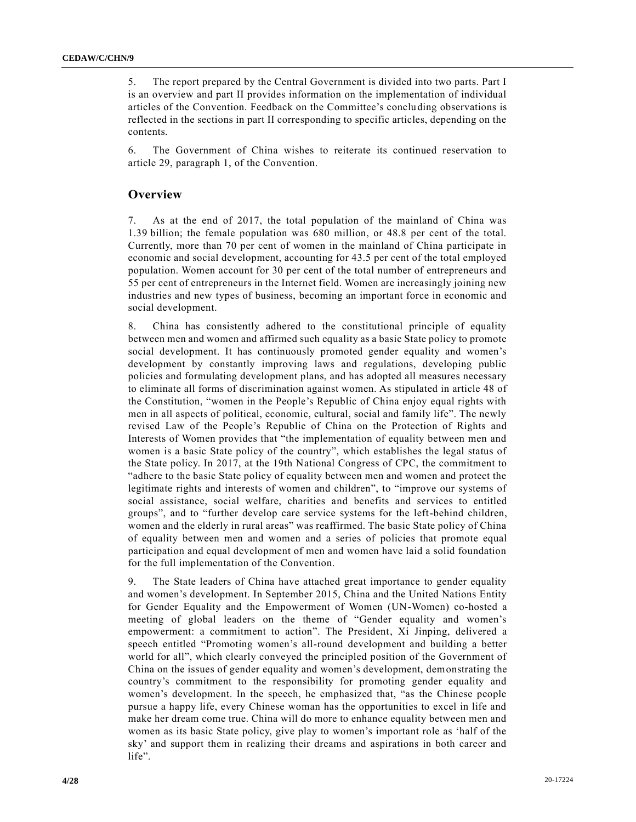5. The report prepared by the Central Government is divided into two parts. Part I is an overview and part II provides information on the implementation of individual articles of the Convention. Feedback on the Committee's concluding observations is reflected in the sections in part II corresponding to specific articles, depending on the contents.

6. The Government of China wishes to reiterate its continued reservation to article 29, paragraph 1, of the Convention.

## **Overview**

7. As at the end of 2017, the total population of the mainland of China was 1.39 billion; the female population was 680 million, or 48.8 per cent of the total. Currently, more than 70 per cent of women in the mainland of China participate in economic and social development, accounting for 43.5 per cent of the total employed population. Women account for 30 per cent of the total number of entrepreneurs and 55 per cent of entrepreneurs in the Internet field. Women are increasingly joining new industries and new types of business, becoming an important force in economic and social development.

8. China has consistently adhered to the constitutional principle of equality between men and women and affirmed such equality as a basic State policy to promote social development. It has continuously promoted gender equality and women's development by constantly improving laws and regulations, developing public policies and formulating development plans, and has adopted all measures necessary to eliminate all forms of discrimination against women. As stipulated in article 48 of the Constitution, "women in the People's Republic of China enjoy equal rights with men in all aspects of political, economic, cultural, social and family life". The newly revised Law of the People's Republic of China on the Protection of Rights and Interests of Women provides that "the implementation of equality between men and women is a basic State policy of the country", which establishes the legal status of the State policy. In 2017, at the 19th National Congress of CPC, the commitment to "adhere to the basic State policy of equality between men and women and protect the legitimate rights and interests of women and children", to "improve our systems of social assistance, social welfare, charities and benefits and services to entitled groups", and to "further develop care service systems for the left-behind children, women and the elderly in rural areas" was reaffirmed. The basic State policy of China of equality between men and women and a series of policies that promote equal participation and equal development of men and women have laid a solid foundation for the full implementation of the Convention.

9. The State leaders of China have attached great importance to gender equality and women's development. In September 2015, China and the United Nations Entity for Gender Equality and the Empowerment of Women (UN-Women) co-hosted a meeting of global leaders on the theme of "Gender equality and women's empowerment: a commitment to action". The President, Xi Jinping, delivered a speech entitled "Promoting women's all-round development and building a better world for all", which clearly conveyed the principled position of the Government of China on the issues of gender equality and women's development, demonstrating the country's commitment to the responsibility for promoting gender equality and women's development. In the speech, he emphasized that, "as the Chinese people pursue a happy life, every Chinese woman has the opportunities to excel in life and make her dream come true. China will do more to enhance equality between men and women as its basic State policy, give play to women's important role as 'half of the sky' and support them in realizing their dreams and aspirations in both career and life".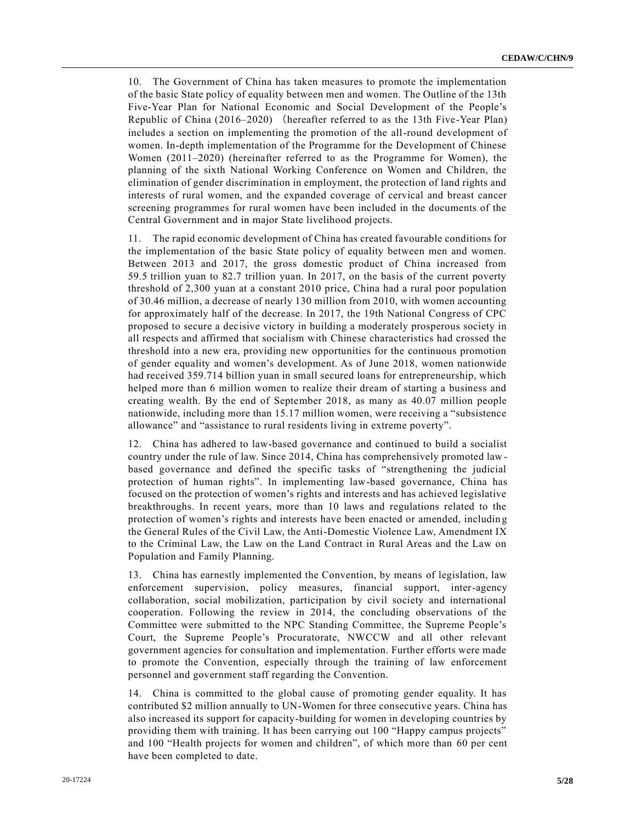10. The Government of China has taken measures to promote the implementation of the basic State policy of equality between men and women. The Outline of the 13th Five-Year Plan for National Economic and Social Development of the People's Republic of China (2016–2020) (hereafter referred to as the 13th Five-Year Plan) includes a section on implementing the promotion of the all-round development of women. In-depth implementation of the Programme for the Development of Chinese Women (2011–2020) (hereinafter referred to as the Programme for Women), the planning of the sixth National Working Conference on Women and Children, the elimination of gender discrimination in employment, the protection of land rights and interests of rural women, and the expanded coverage of cervical and breast cancer screening programmes for rural women have been included in the documents of the Central Government and in major State livelihood projects.

11. The rapid economic development of China has created favourable conditions for the implementation of the basic State policy of equality between men and women. Between 2013 and 2017, the gross domestic product of China increased from 59.5 trillion yuan to 82.7 trillion yuan. In 2017, on the basis of the current poverty threshold of 2,300 yuan at a constant 2010 price, China had a rural poor population of 30.46 million, a decrease of nearly 130 million from 2010, with women accounting for approximately half of the decrease. In 2017, the 19th National Congress of CPC proposed to secure a decisive victory in building a moderately prosperous society in all respects and affirmed that socialism with Chinese characteristics had crossed the threshold into a new era, providing new opportunities for the continuous promotion of gender equality and women's development. As of June 2018, women nationwide had received 359.714 billion yuan in small secured loans for entrepreneurship, which helped more than 6 million women to realize their dream of starting a business and creating wealth. By the end of September 2018, as many as 40.07 million people nationwide, including more than 15.17 million women, were receiving a "subsistence allowance" and "assistance to rural residents living in extreme poverty".

12. China has adhered to law-based governance and continued to build a socialist country under the rule of law. Since 2014, China has comprehensively promoted lawbased governance and defined the specific tasks of "strengthening the judicial protection of human rights". In implementing law-based governance, China has focused on the protection of women's rights and interests and has achieved legislative breakthroughs. In recent years, more than 10 laws and regulations related to the protection of women's rights and interests have been enacted or amended, includin g the General Rules of the Civil Law, the Anti-Domestic Violence Law, Amendment IX to the Criminal Law, the Law on the Land Contract in Rural Areas and the Law on Population and Family Planning.

13. China has earnestly implemented the Convention, by means of legislation, law enforcement supervision, policy measures, financial support, inter-agency collaboration, social mobilization, participation by civil society and international cooperation. Following the review in 2014, the concluding observations of the Committee were submitted to the NPC Standing Committee, the Supreme People's Court, the Supreme People's Procuratorate, NWCCW and all other relevant government agencies for consultation and implementation. Further efforts were made to promote the Convention, especially through the training of law enforcement personnel and government staff regarding the Convention.

14. China is committed to the global cause of promoting gender equality. It has contributed \$2 million annually to UN-Women for three consecutive years. China has also increased its support for capacity-building for women in developing countries by providing them with training. It has been carrying out 100 "Happy campus projects" and 100 "Health projects for women and children", of which more than 60 per cent have been completed to date.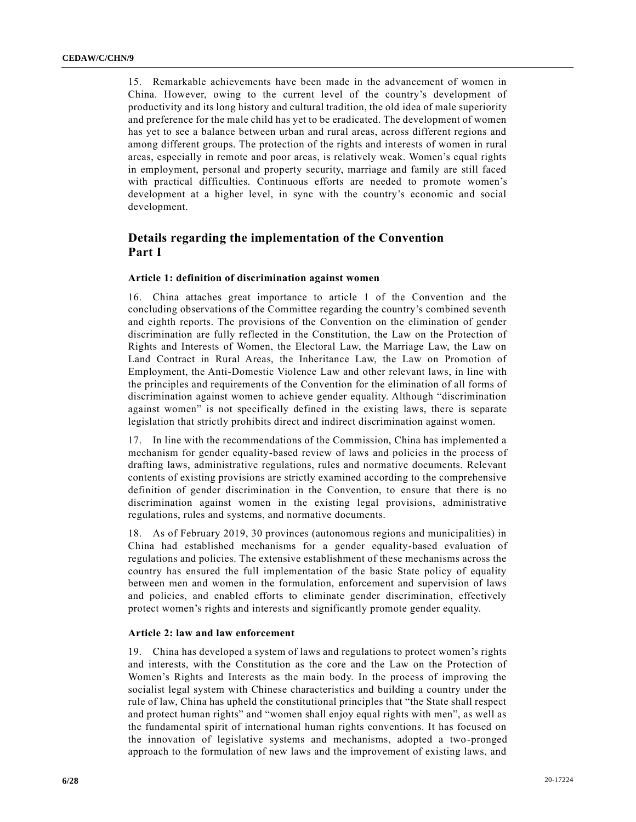15. Remarkable achievements have been made in the advancement of women in China. However, owing to the current level of the country's development of productivity and its long history and cultural tradition, the old idea of male superiority and preference for the male child has yet to be eradicated. The development of women has yet to see a balance between urban and rural areas, across different regions and among different groups. The protection of the rights and interests of women in rural areas, especially in remote and poor areas, is relatively weak. Women's equal rights in employment, personal and property security, marriage and family are still faced with practical difficulties. Continuous efforts are needed to promote women's development at a higher level, in sync with the country's economic and social development.

# **Details regarding the implementation of the Convention Part I**

#### **Article 1: definition of discrimination against women**

16. China attaches great importance to article 1 of the Convention and the concluding observations of the Committee regarding the country's combined seventh and eighth reports. The provisions of the Convention on the elimination of gender discrimination are fully reflected in the Constitution, the Law on the Protection of Rights and Interests of Women, the Electoral Law, the Marriage Law, the Law on Land Contract in Rural Areas, the Inheritance Law, the Law on Promotion of Employment, the Anti-Domestic Violence Law and other relevant laws, in line with the principles and requirements of the Convention for the elimination of all forms of discrimination against women to achieve gender equality. Although "discrimination against women" is not specifically defined in the existing laws, there is separate legislation that strictly prohibits direct and indirect discrimination against women.

17. In line with the recommendations of the Commission, China has implemented a mechanism for gender equality-based review of laws and policies in the process of drafting laws, administrative regulations, rules and normative documents. Relevant contents of existing provisions are strictly examined according to the comprehensive definition of gender discrimination in the Convention, to ensure that there is no discrimination against women in the existing legal provisions, administrative regulations, rules and systems, and normative documents.

18. As of February 2019, 30 provinces (autonomous regions and municipalities) in China had established mechanisms for a gender equality-based evaluation of regulations and policies. The extensive establishment of these mechanisms across the country has ensured the full implementation of the basic State policy of equality between men and women in the formulation, enforcement and supervision of laws and policies, and enabled efforts to eliminate gender discrimination, effectively protect women's rights and interests and significantly promote gender equality.

#### **Article 2: law and law enforcement**

19. China has developed a system of laws and regulations to protect women's rights and interests, with the Constitution as the core and the Law on the Protection of Women's Rights and Interests as the main body. In the process of improving the socialist legal system with Chinese characteristics and building a country under the rule of law, China has upheld the constitutional principles that "the State shall respect and protect human rights" and "women shall enjoy equal rights with men", as well as the fundamental spirit of international human rights conventions. It has focused on the innovation of legislative systems and mechanisms, adopted a two-pronged approach to the formulation of new laws and the improvement of existing laws, and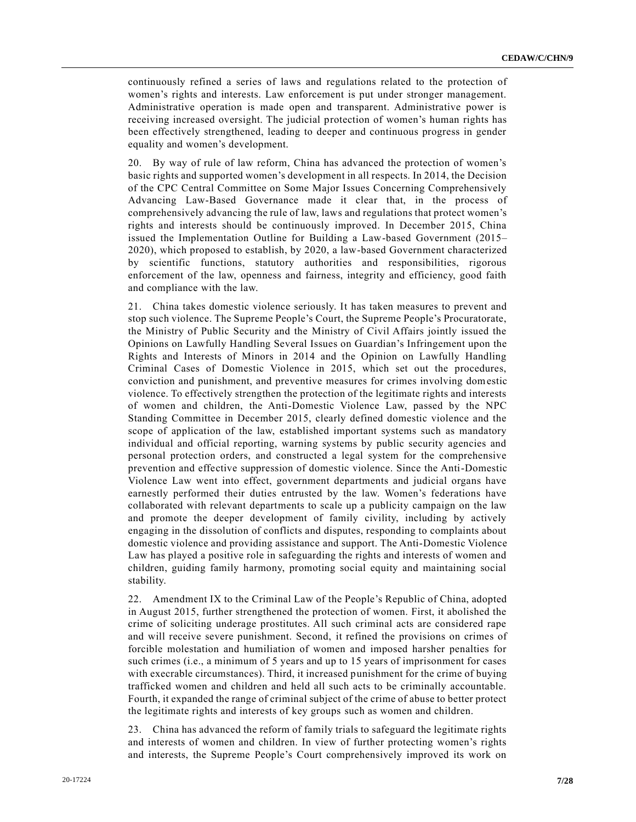continuously refined a series of laws and regulations related to the protection of women's rights and interests. Law enforcement is put under stronger management. Administrative operation is made open and transparent. Administrative power is receiving increased oversight. The judicial protection of women's human rights has been effectively strengthened, leading to deeper and continuous progress in gender equality and women's development.

20. By way of rule of law reform, China has advanced the protection of women's basic rights and supported women's development in all respects. In 2014, the Decision of the CPC Central Committee on Some Major Issues Concerning Comprehensively Advancing Law-Based Governance made it clear that, in the process of comprehensively advancing the rule of law, laws and regulations that protect women's rights and interests should be continuously improved. In December 2015, China issued the Implementation Outline for Building a Law-based Government (2015– 2020), which proposed to establish, by 2020, a law-based Government characterized by scientific functions, statutory authorities and responsibilities, rigorous enforcement of the law, openness and fairness, integrity and efficiency, good faith and compliance with the law.

21. China takes domestic violence seriously. It has taken measures to prevent and stop such violence. The Supreme People's Court, the Supreme People's Procuratorate, the Ministry of Public Security and the Ministry of Civil Affairs jointly issued the Opinions on Lawfully Handling Several Issues on Guardian's Infringement upon the Rights and Interests of Minors in 2014 and the Opinion on Lawfully Handling Criminal Cases of Domestic Violence in 2015, which set out the procedures, conviction and punishment, and preventive measures for crimes involving domestic violence. To effectively strengthen the protection of the legitimate rights and interests of women and children, the Anti-Domestic Violence Law, passed by the NPC Standing Committee in December 2015, clearly defined domestic violence and the scope of application of the law, established important systems such as mandatory individual and official reporting, warning systems by public security agencies and personal protection orders, and constructed a legal system for the comprehensive prevention and effective suppression of domestic violence. Since the Anti-Domestic Violence Law went into effect, government departments and judicial organs have earnestly performed their duties entrusted by the law. Women's federations have collaborated with relevant departments to scale up a publicity campaign on the law and promote the deeper development of family civility, including by actively engaging in the dissolution of conflicts and disputes, responding to complaints about domestic violence and providing assistance and support. The Anti-Domestic Violence Law has played a positive role in safeguarding the rights and interests of women and children, guiding family harmony, promoting social equity and maintaining social stability.

22. Amendment IX to the Criminal Law of the People's Republic of China, adopted in August 2015, further strengthened the protection of women. First, it abolished the crime of soliciting underage prostitutes. All such criminal acts are considered rape and will receive severe punishment. Second, it refined the provisions on crimes of forcible molestation and humiliation of women and imposed harsher penalties for such crimes (i.e., a minimum of 5 years and up to 15 years of imprisonment for cases with execrable circumstances). Third, it increased punishment for the crime of buying trafficked women and children and held all such acts to be criminally accountable. Fourth, it expanded the range of criminal subject of the crime of abuse to better protect the legitimate rights and interests of key groups such as women and children.

23. China has advanced the reform of family trials to safeguard the legitimate rights and interests of women and children. In view of further protecting women's rights and interests, the Supreme People's Court comprehensively improved its work on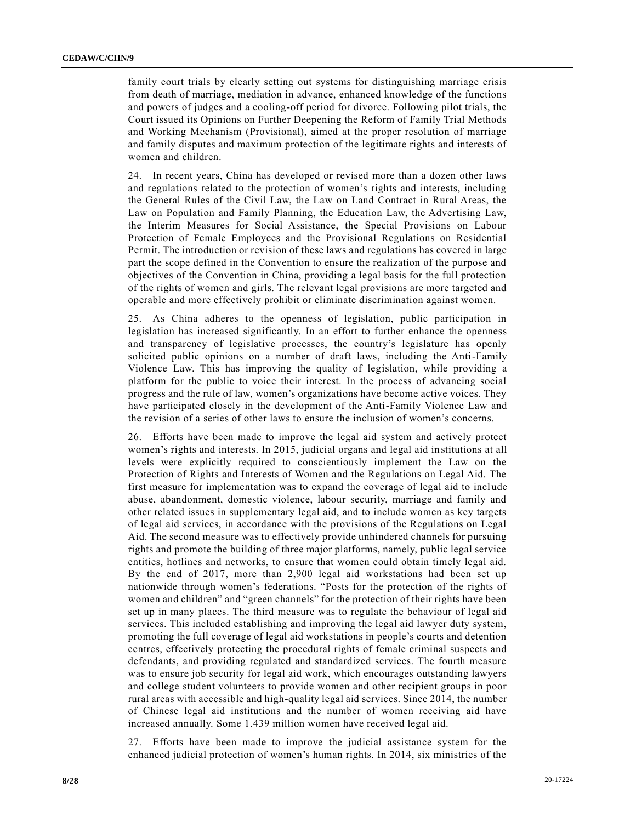family court trials by clearly setting out systems for distinguishing marriage crisis from death of marriage, mediation in advance, enhanced knowledge of the functions and powers of judges and a cooling-off period for divorce. Following pilot trials, the Court issued its Opinions on Further Deepening the Reform of Family Trial Methods and Working Mechanism (Provisional), aimed at the proper resolution of marriage and family disputes and maximum protection of the legitimate rights and interests of women and children.

24. In recent years, China has developed or revised more than a dozen other laws and regulations related to the protection of women's rights and interests, including the General Rules of the Civil Law, the Law on Land Contract in Rural Areas, the Law on Population and Family Planning, the Education Law, the Advertising Law, the Interim Measures for Social Assistance, the Special Provisions on Labour Protection of Female Employees and the Provisional Regulations on Residential Permit. The introduction or revision of these laws and regulations has covered in large part the scope defined in the Convention to ensure the realization of the purpose and objectives of the Convention in China, providing a legal basis for the full protection of the rights of women and girls. The relevant legal provisions are more targeted and operable and more effectively prohibit or eliminate discrimination against women.

25. As China adheres to the openness of legislation, public participation in legislation has increased significantly. In an effort to further enhance the openness and transparency of legislative processes, the country's legislature has openly solicited public opinions on a number of draft laws, including the Anti-Family Violence Law. This has improving the quality of legislation, while providing a platform for the public to voice their interest. In the process of advancing social progress and the rule of law, women's organizations have become active voices. They have participated closely in the development of the Anti-Family Violence Law and the revision of a series of other laws to ensure the inclusion of women's concerns.

26. Efforts have been made to improve the legal aid system and actively protect women's rights and interests. In 2015, judicial organs and legal aid in stitutions at all levels were explicitly required to conscientiously implement the Law on the Protection of Rights and Interests of Women and the Regulations on Legal Aid. The first measure for implementation was to expand the coverage of legal aid to incl ude abuse, abandonment, domestic violence, labour security, marriage and family and other related issues in supplementary legal aid, and to include women as key targets of legal aid services, in accordance with the provisions of the Regulations on Legal Aid. The second measure was to effectively provide unhindered channels for pursuing rights and promote the building of three major platforms, namely, public legal service entities, hotlines and networks, to ensure that women could obtain timely legal aid. By the end of 2017, more than 2,900 legal aid workstations had been set up nationwide through women's federations. "Posts for the protection of the rights of women and children" and "green channels" for the protection of their rights have been set up in many places. The third measure was to regulate the behaviour of legal aid services. This included establishing and improving the legal aid lawyer duty system, promoting the full coverage of legal aid workstations in people's courts and detention centres, effectively protecting the procedural rights of female criminal suspects and defendants, and providing regulated and standardized services. The fourth measure was to ensure job security for legal aid work, which encourages outstanding lawyers and college student volunteers to provide women and other recipient groups in poor rural areas with accessible and high-quality legal aid services. Since 2014, the number of Chinese legal aid institutions and the number of women receiving aid have increased annually. Some 1.439 million women have received legal aid.

27. Efforts have been made to improve the judicial assistance system for the enhanced judicial protection of women's human rights. In 2014, six ministries of the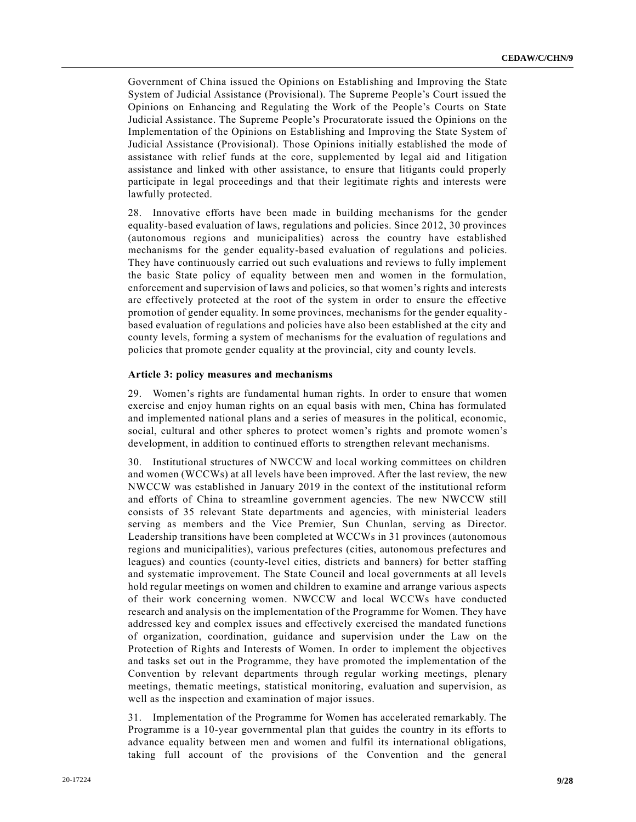Government of China issued the Opinions on Establishing and Improving the State System of Judicial Assistance (Provisional). The Supreme People's Court issued the Opinions on Enhancing and Regulating the Work of the People's Courts on State Judicial Assistance. The Supreme People's Procuratorate issued the Opinions on the Implementation of the Opinions on Establishing and Improving the State System of Judicial Assistance (Provisional). Those Opinions initially established the mode of assistance with relief funds at the core, supplemented by legal aid and litigation assistance and linked with other assistance, to ensure that litigants could properly participate in legal proceedings and that their legitimate rights and interests were lawfully protected.

28. Innovative efforts have been made in building mechanisms for the gender equality-based evaluation of laws, regulations and policies. Since 2012, 30 provinces (autonomous regions and municipalities) across the country have established mechanisms for the gender equality-based evaluation of regulations and policies. They have continuously carried out such evaluations and reviews to fully implement the basic State policy of equality between men and women in the formulation, enforcement and supervision of laws and policies, so that women's rights and interests are effectively protected at the root of the system in order to ensure the effective promotion of gender equality. In some provinces, mechanisms for the gender equalitybased evaluation of regulations and policies have also been established at the city and county levels, forming a system of mechanisms for the evaluation of regulations and policies that promote gender equality at the provincial, city and county levels.

#### **Article 3: policy measures and mechanisms**

29. Women's rights are fundamental human rights. In order to ensure that women exercise and enjoy human rights on an equal basis with men, China has formulated and implemented national plans and a series of measures in the political, economic, social, cultural and other spheres to protect women's rights and promote women's development, in addition to continued efforts to strengthen relevant mechanisms.

30. Institutional structures of NWCCW and local working committees on children and women (WCCWs) at all levels have been improved. After the last review, the new NWCCW was established in January 2019 in the context of the institutional reform and efforts of China to streamline government agencies. The new NWCCW still consists of 35 relevant State departments and agencies, with ministerial leaders serving as members and the Vice Premier, Sun Chunlan, serving as Director. Leadership transitions have been completed at WCCWs in 31 provinces (autonomous regions and municipalities), various prefectures (cities, autonomous prefectures and leagues) and counties (county-level cities, districts and banners) for better staffing and systematic improvement. The State Council and local governments at all levels hold regular meetings on women and children to examine and arrange various aspects of their work concerning women. NWCCW and local WCCWs have conducted research and analysis on the implementation of the Programme for Women. They have addressed key and complex issues and effectively exercised the mandated functions of organization, coordination, guidance and supervision under the Law on the Protection of Rights and Interests of Women. In order to implement the objectives and tasks set out in the Programme, they have promoted the implementation of the Convention by relevant departments through regular working meetings, plenary meetings, thematic meetings, statistical monitoring, evaluation and supervision, as well as the inspection and examination of major issues.

31. Implementation of the Programme for Women has accelerated remarkably. The Programme is a 10-year governmental plan that guides the country in its efforts to advance equality between men and women and fulfil its international obligations, taking full account of the provisions of the Convention and the general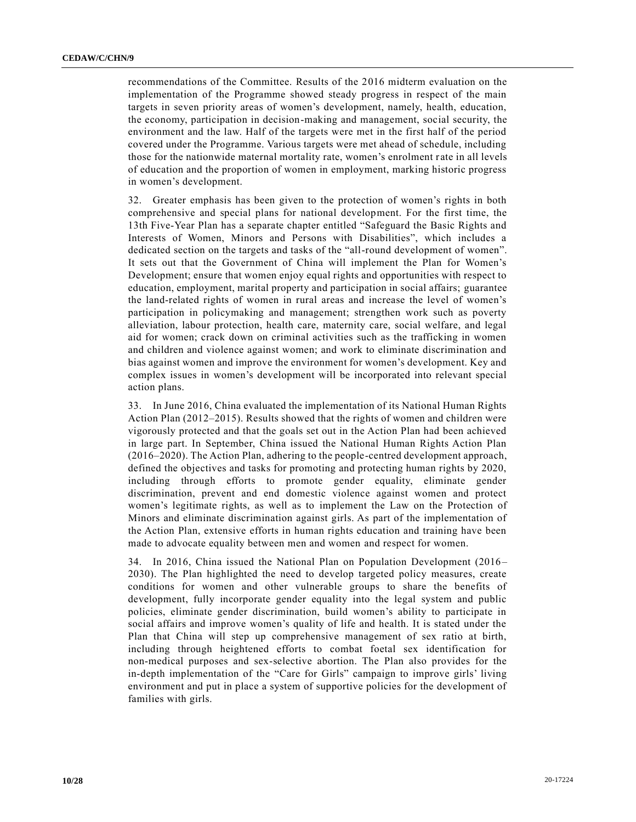recommendations of the Committee. Results of the 2016 midterm evaluation on the implementation of the Programme showed steady progress in respect of the main targets in seven priority areas of women's development, namely, health, education, the economy, participation in decision-making and management, social security, the environment and the law. Half of the targets were met in the first half of the period covered under the Programme. Various targets were met ahead of schedule, including those for the nationwide maternal mortality rate, women's enrolment r ate in all levels of education and the proportion of women in employment, marking historic progress in women's development.

32. Greater emphasis has been given to the protection of women's rights in both comprehensive and special plans for national development. For the first time, the 13th Five-Year Plan has a separate chapter entitled "Safeguard the Basic Rights and Interests of Women, Minors and Persons with Disabilities", which includes a dedicated section on the targets and tasks of the "all-round development of women". It sets out that the Government of China will implement the Plan for Women's Development; ensure that women enjoy equal rights and opportunities with respect to education, employment, marital property and participation in social affairs; guarantee the land-related rights of women in rural areas and increase the level of women's participation in policymaking and management; strengthen work such as poverty alleviation, labour protection, health care, maternity care, social welfare, and legal aid for women; crack down on criminal activities such as the trafficking in women and children and violence against women; and work to eliminate discrimination and bias against women and improve the environment for women's development. Key and complex issues in women's development will be incorporated into relevant special action plans.

33. In June 2016, China evaluated the implementation of its National Human Rights Action Plan (2012–2015). Results showed that the rights of women and children were vigorously protected and that the goals set out in the Action Plan had been achieved in large part. In September, China issued the National Human Rights Action Plan (2016–2020). The Action Plan, adhering to the people-centred development approach, defined the objectives and tasks for promoting and protecting human rights by 2020, including through efforts to promote gender equality, eliminate gender discrimination, prevent and end domestic violence against women and protect women's legitimate rights, as well as to implement the Law on the Protection of Minors and eliminate discrimination against girls. As part of the implementation of the Action Plan, extensive efforts in human rights education and training have been made to advocate equality between men and women and respect for women.

34. In 2016, China issued the National Plan on Population Development (2016– 2030). The Plan highlighted the need to develop targeted policy measures, create conditions for women and other vulnerable groups to share the benefits of development, fully incorporate gender equality into the legal system and public policies, eliminate gender discrimination, build women's ability to participate in social affairs and improve women's quality of life and health. It is stated under the Plan that China will step up comprehensive management of sex ratio at birth, including through heightened efforts to combat foetal sex identification for non-medical purposes and sex-selective abortion. The Plan also provides for the in-depth implementation of the "Care for Girls" campaign to improve girls' living environment and put in place a system of supportive policies for the development of families with girls.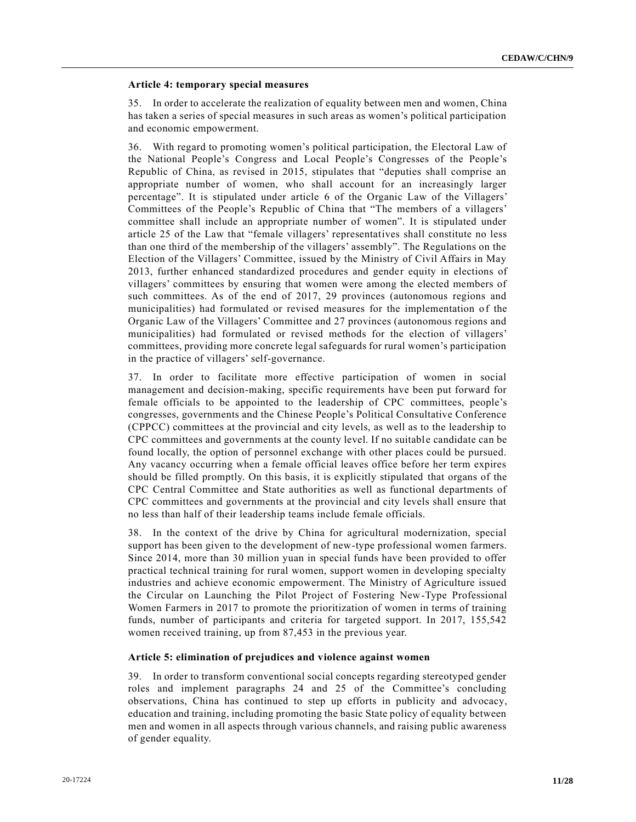#### **Article 4: temporary special measures**

35. In order to accelerate the realization of equality between men and women, China has taken a series of special measures in such areas as women's political participation and economic empowerment.

36. With regard to promoting women's political participation, the Electoral Law of the National People's Congress and Local People's Congresses of the People's Republic of China, as revised in 2015, stipulates that "deputies shall comprise an appropriate number of women, who shall account for an increasingly larger percentage". It is stipulated under article 6 of the Organic Law of the Villagers' Committees of the People's Republic of China that "The members of a villagers' committee shall include an appropriate number of women". It is stipulated under article 25 of the Law that "female villagers' representatives shall constitute no less than one third of the membership of the villagers' assembly". The Regulations on the Election of the Villagers' Committee, issued by the Ministry of Civil Affairs in May 2013, further enhanced standardized procedures and gender equity in elections of villagers' committees by ensuring that women were among the elected members of such committees. As of the end of 2017, 29 provinces (autonomous regions and municipalities) had formulated or revised measures for the implementation of the Organic Law of the Villagers' Committee and 27 provinces (autonomous regions and municipalities) had formulated or revised methods for the election of villagers' committees, providing more concrete legal safeguards for rural women's participation in the practice of villagers' self-governance.

37. In order to facilitate more effective participation of women in social management and decision-making, specific requirements have been put forward for female officials to be appointed to the leadership of CPC committees, people's congresses, governments and the Chinese People's Political Consultative Conference (CPPCC) committees at the provincial and city levels, as well as to the leadership to CPC committees and governments at the county level. If no suitable candidate can be found locally, the option of personnel exchange with other places could be pursued. Any vacancy occurring when a female official leaves office before her term expires should be filled promptly. On this basis, it is explicitly stipulated that organs of the CPC Central Committee and State authorities as well as functional departments of CPC committees and governments at the provincial and city levels shall ensure that no less than half of their leadership teams include female officials.

38. In the context of the drive by China for agricultural modernization, special support has been given to the development of new-type professional women farmers. Since 2014, more than 30 million yuan in special funds have been provided to offer practical technical training for rural women, support women in developing specialty industries and achieve economic empowerment. The Ministry of Agriculture issued the Circular on Launching the Pilot Project of Fostering New-Type Professional Women Farmers in 2017 to promote the prioritization of women in terms of training funds, number of participants and criteria for targeted support. In 2017, 155,542 women received training, up from 87,453 in the previous year.

#### **Article 5: elimination of prejudices and violence against women**

39. In order to transform conventional social concepts regarding stereotyped gender roles and implement paragraphs 24 and 25 of the Committee's concluding observations, China has continued to step up efforts in publicity and advocacy, education and training, including promoting the basic State policy of equality between men and women in all aspects through various channels, and raising public awareness of gender equality.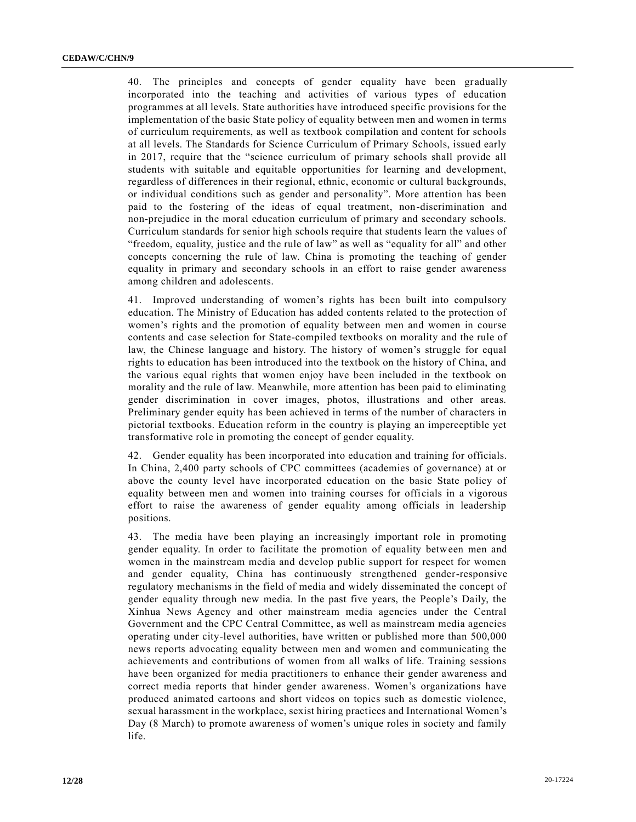40. The principles and concepts of gender equality have been gradually incorporated into the teaching and activities of various types of education programmes at all levels. State authorities have introduced specific provisions for the implementation of the basic State policy of equality between men and women in terms of curriculum requirements, as well as textbook compilation and content for schools at all levels. The Standards for Science Curriculum of Primary Schools, issued early in 2017, require that the "science curriculum of primary schools shall provide all students with suitable and equitable opportunities for learning and development, regardless of differences in their regional, ethnic, economic or cultural backgrounds, or individual conditions such as gender and personality". More attention has been paid to the fostering of the ideas of equal treatment, non-discrimination and non-prejudice in the moral education curriculum of primary and secondary schools. Curriculum standards for senior high schools require that students learn the values of "freedom, equality, justice and the rule of law" as well as "equality for all" and other concepts concerning the rule of law. China is promoting the teaching of gender equality in primary and secondary schools in an effort to raise gender awareness among children and adolescents.

41. Improved understanding of women's rights has been built into compulsory education. The Ministry of Education has added contents related to the protection of women's rights and the promotion of equality between men and women in course contents and case selection for State-compiled textbooks on morality and the rule of law, the Chinese language and history. The history of women's struggle for equal rights to education has been introduced into the textbook on the history of China, and the various equal rights that women enjoy have been included in the textbook on morality and the rule of law. Meanwhile, more attention has been paid to eliminating gender discrimination in cover images, photos, illustrations and other areas. Preliminary gender equity has been achieved in terms of the number of characters in pictorial textbooks. Education reform in the country is playing an imperceptible yet transformative role in promoting the concept of gender equality.

42. Gender equality has been incorporated into education and training for officials. In China, 2,400 party schools of CPC committees (academies of governance) at or above the county level have incorporated education on the basic State policy of equality between men and women into training courses for officials in a vigorous effort to raise the awareness of gender equality among officials in leadership positions.

43. The media have been playing an increasingly important role in promoting gender equality. In order to facilitate the promotion of equality between men and women in the mainstream media and develop public support for respect for women and gender equality, China has continuously strengthened gender-responsive regulatory mechanisms in the field of media and widely disseminated the concept of gender equality through new media. In the past five years, the People's Daily, the Xinhua News Agency and other mainstream media agencies under the Central Government and the CPC Central Committee, as well as mainstream media agencies operating under city-level authorities, have written or published more than 500,000 news reports advocating equality between men and women and communicating the achievements and contributions of women from all walks of life. Training sessions have been organized for media practitioners to enhance their gender awareness and correct media reports that hinder gender awareness. Women's organizations have produced animated cartoons and short videos on topics such as domestic violence, sexual harassment in the workplace, sexist hiring practices and International Women's Day (8 March) to promote awareness of women's unique roles in society and family life.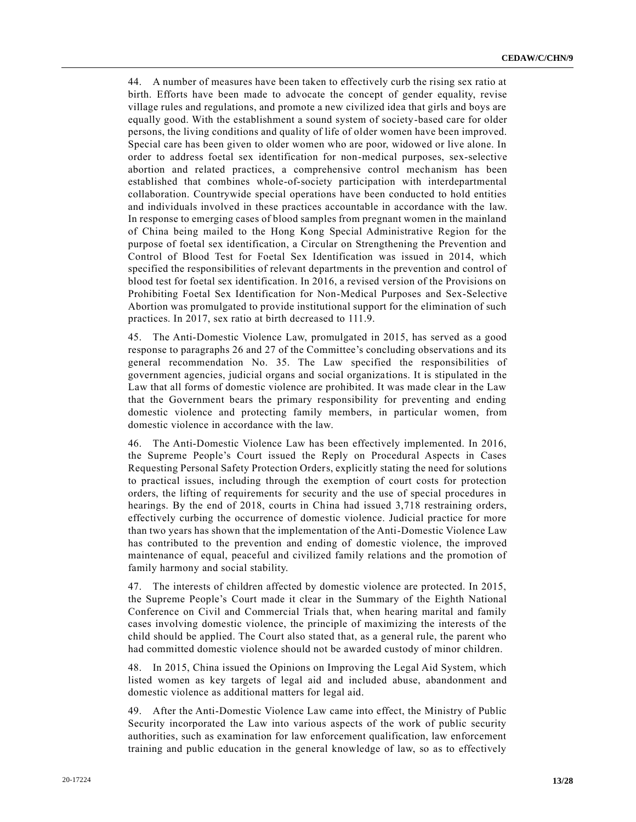44. A number of measures have been taken to effectively curb the rising sex ratio at birth. Efforts have been made to advocate the concept of gender equality, revise village rules and regulations, and promote a new civilized idea that girls and boys are equally good. With the establishment a sound system of society-based care for older persons, the living conditions and quality of life of older women have been improved. Special care has been given to older women who are poor, widowed or live alone. In order to address foetal sex identification for non-medical purposes, sex-selective abortion and related practices, a comprehensive control mechanism has been established that combines whole-of-society participation with interdepartmental collaboration. Countrywide special operations have been conducted to hold entities and individuals involved in these practices accountable in accordance with the law. In response to emerging cases of blood samples from pregnant women in the mainland of China being mailed to the Hong Kong Special Administrative Region for the purpose of foetal sex identification, a Circular on Strengthening the Prevention and Control of Blood Test for Foetal Sex Identification was issued in 2014, which specified the responsibilities of relevant departments in the prevention and control of blood test for foetal sex identification. In 2016, a revised version of the Provisions on Prohibiting Foetal Sex Identification for Non-Medical Purposes and Sex-Selective Abortion was promulgated to provide institutional support for the elimination of such practices. In 2017, sex ratio at birth decreased to 111.9.

45. The Anti-Domestic Violence Law, promulgated in 2015, has served as a good response to paragraphs 26 and 27 of the Committee's concluding observations and its general recommendation No. 35. The Law specified the responsibilities of government agencies, judicial organs and social organizations. It is stipulated in the Law that all forms of domestic violence are prohibited. It was made clear in the Law that the Government bears the primary responsibility for preventing and ending domestic violence and protecting family members, in particular women, from domestic violence in accordance with the law.

46. The Anti-Domestic Violence Law has been effectively implemented. In 2016, the Supreme People's Court issued the Reply on Procedural Aspects in Cases Requesting Personal Safety Protection Orders, explicitly stating the need for solutions to practical issues, including through the exemption of court costs for protection orders, the lifting of requirements for security and the use of special procedures in hearings. By the end of 2018, courts in China had issued 3,718 restraining orders, effectively curbing the occurrence of domestic violence. Judicial practice for more than two years has shown that the implementation of the Anti-Domestic Violence Law has contributed to the prevention and ending of domestic violence, the improved maintenance of equal, peaceful and civilized family relations and the promotion of family harmony and social stability.

47. The interests of children affected by domestic violence are protected. In 2015, the Supreme People's Court made it clear in the Summary of the Eighth National Conference on Civil and Commercial Trials that, when hearing marital and family cases involving domestic violence, the principle of maximizing the interests of the child should be applied. The Court also stated that, as a general rule, the parent who had committed domestic violence should not be awarded custody of minor children.

48. In 2015, China issued the Opinions on Improving the Legal Aid System, which listed women as key targets of legal aid and included abuse, abandonment and domestic violence as additional matters for legal aid.

49. After the Anti-Domestic Violence Law came into effect, the Ministry of Public Security incorporated the Law into various aspects of the work of public security authorities, such as examination for law enforcement qualification, law enforcement training and public education in the general knowledge of law, so as to effectively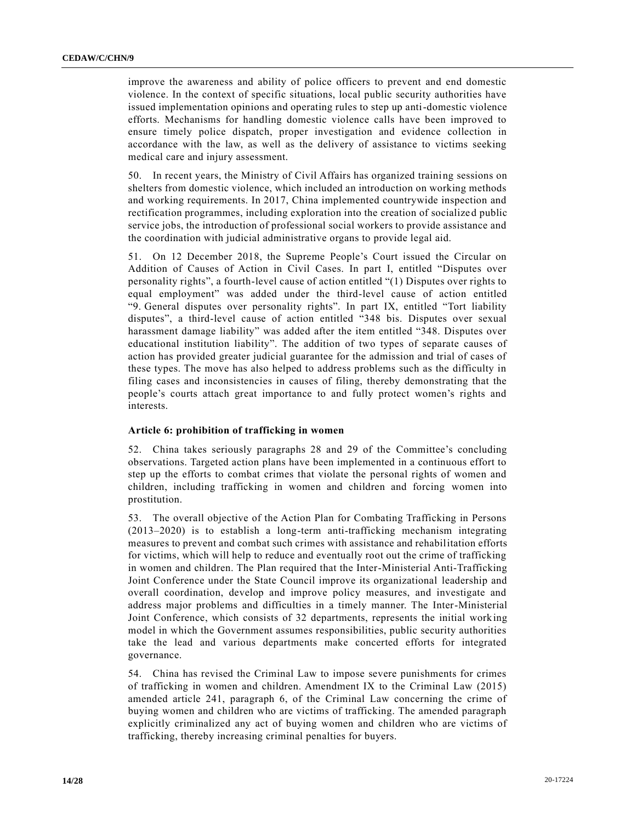improve the awareness and ability of police officers to prevent and end domestic violence. In the context of specific situations, local public security authorities have issued implementation opinions and operating rules to step up anti-domestic violence efforts. Mechanisms for handling domestic violence calls have been improved to ensure timely police dispatch, proper investigation and evidence collection in accordance with the law, as well as the delivery of assistance to victims seeking medical care and injury assessment.

50. In recent years, the Ministry of Civil Affairs has organized training sessions on shelters from domestic violence, which included an introduction on working methods and working requirements. In 2017, China implemented countrywide inspection and rectification programmes, including exploration into the creation of socialize d public service jobs, the introduction of professional social workers to provide assistance and the coordination with judicial administrative organs to provide legal aid.

51. On 12 December 2018, the Supreme People's Court issued the Circular on Addition of Causes of Action in Civil Cases. In part I, entitled "Disputes over personality rights", a fourth-level cause of action entitled "(1) Disputes over rights to equal employment" was added under the third-level cause of action entitled "9. General disputes over personality rights". In part IX, entitled "Tort liability disputes", a third-level cause of action entitled "348 bis. Disputes over sexual harassment damage liability" was added after the item entitled "348. Disputes over educational institution liability". The addition of two types of separate causes of action has provided greater judicial guarantee for the admission and trial of cases of these types. The move has also helped to address problems such as the difficulty in filing cases and inconsistencies in causes of filing, thereby demonstrating that the people's courts attach great importance to and fully protect women's rights and interests.

#### **Article 6: prohibition of trafficking in women**

52. China takes seriously paragraphs 28 and 29 of the Committee's concluding observations. Targeted action plans have been implemented in a continuous effort to step up the efforts to combat crimes that violate the personal rights of women and children, including trafficking in women and children and forcing women into prostitution.

53. The overall objective of the Action Plan for Combating Trafficking in Persons (2013–2020) is to establish a long-term anti-trafficking mechanism integrating measures to prevent and combat such crimes with assistance and rehabilitation efforts for victims, which will help to reduce and eventually root out the crime of trafficking in women and children. The Plan required that the Inter-Ministerial Anti-Trafficking Joint Conference under the State Council improve its organizational leadership and overall coordination, develop and improve policy measures, and investigate and address major problems and difficulties in a timely manner. The Inter-Ministerial Joint Conference, which consists of 32 departments, represents the initial working model in which the Government assumes responsibilities, public security authorities take the lead and various departments make concerted efforts for integrated governance.

54. China has revised the Criminal Law to impose severe punishments for crimes of trafficking in women and children. Amendment IX to the Criminal Law (2015) amended article 241, paragraph 6, of the Criminal Law concerning the crime of buying women and children who are victims of trafficking. The amended paragraph explicitly criminalized any act of buying women and children who are victims of trafficking, thereby increasing criminal penalties for buyers.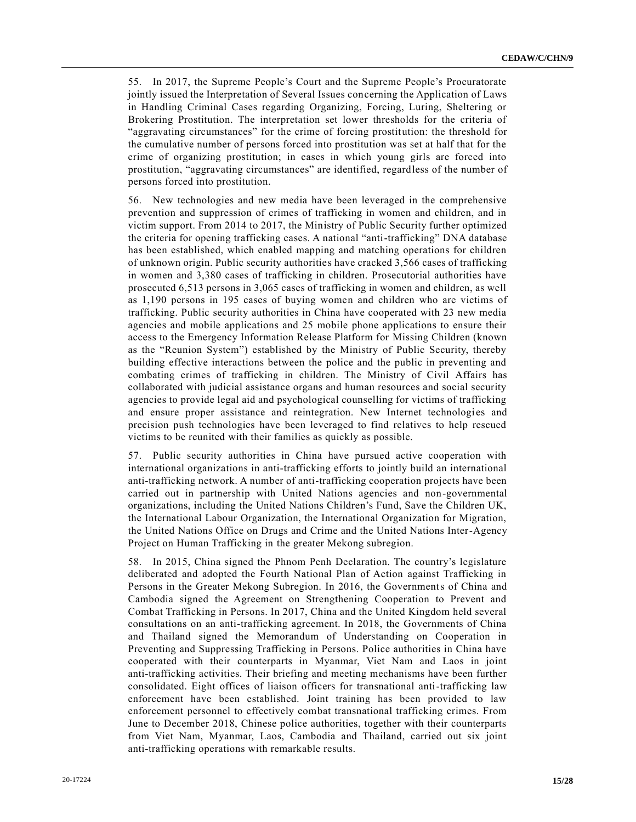55. In 2017, the Supreme People's Court and the Supreme People's Procuratorate jointly issued the Interpretation of Several Issues concerning the Application of Laws in Handling Criminal Cases regarding Organizing, Forcing, Luring, Sheltering or Brokering Prostitution. The interpretation set lower thresholds for the criteria of "aggravating circumstances" for the crime of forcing prostitution: the threshold for the cumulative number of persons forced into prostitution was set at half that for the crime of organizing prostitution; in cases in which young girls are forced into prostitution, "aggravating circumstances" are identified, regardless of the number of persons forced into prostitution.

56. New technologies and new media have been leveraged in the comprehensive prevention and suppression of crimes of trafficking in women and children, and in victim support. From 2014 to 2017, the Ministry of Public Security further optimized the criteria for opening trafficking cases. A national "anti-trafficking" DNA database has been established, which enabled mapping and matching operations for children of unknown origin. Public security authorities have cracked 3,566 cases of trafficking in women and 3,380 cases of trafficking in children. Prosecutorial authorities have prosecuted 6,513 persons in 3,065 cases of trafficking in women and children, as well as 1,190 persons in 195 cases of buying women and children who are victims of trafficking. Public security authorities in China have cooperated with 23 new media agencies and mobile applications and 25 mobile phone applications to ensure their access to the Emergency Information Release Platform for Missing Children (known as the "Reunion System") established by the Ministry of Public Security, thereby building effective interactions between the police and the public in preventing and combating crimes of trafficking in children. The Ministry of Civil Affairs has collaborated with judicial assistance organs and human resources and social security agencies to provide legal aid and psychological counselling for victims of trafficking and ensure proper assistance and reintegration. New Internet technologies and precision push technologies have been leveraged to find relatives to help rescued victims to be reunited with their families as quickly as possible.

57. Public security authorities in China have pursued active cooperation with international organizations in anti-trafficking efforts to jointly build an international anti-trafficking network. A number of anti-trafficking cooperation projects have been carried out in partnership with United Nations agencies and non-governmental organizations, including the United Nations Children's Fund, Save the Children UK, the International Labour Organization, the International Organization for Migration, the United Nations Office on Drugs and Crime and the United Nations Inter-Agency Project on Human Trafficking in the greater Mekong subregion.

58. In 2015, China signed the Phnom Penh Declaration. The country's legislature deliberated and adopted the Fourth National Plan of Action against Trafficking in Persons in the Greater Mekong Subregion. In 2016, the Governments of China and Cambodia signed the Agreement on Strengthening Cooperation to Prevent and Combat Trafficking in Persons. In 2017, China and the United Kingdom held several consultations on an anti-trafficking agreement. In 2018, the Governments of China and Thailand signed the Memorandum of Understanding on Cooperation in Preventing and Suppressing Trafficking in Persons. Police authorities in China have cooperated with their counterparts in Myanmar, Viet Nam and Laos in joint anti-trafficking activities. Their briefing and meeting mechanisms have been further consolidated. Eight offices of liaison officers for transnational anti-trafficking law enforcement have been established. Joint training has been provided to law enforcement personnel to effectively combat transnational trafficking crimes. From June to December 2018, Chinese police authorities, together with their counterparts from Viet Nam, Myanmar, Laos, Cambodia and Thailand, carried out six joint anti-trafficking operations with remarkable results.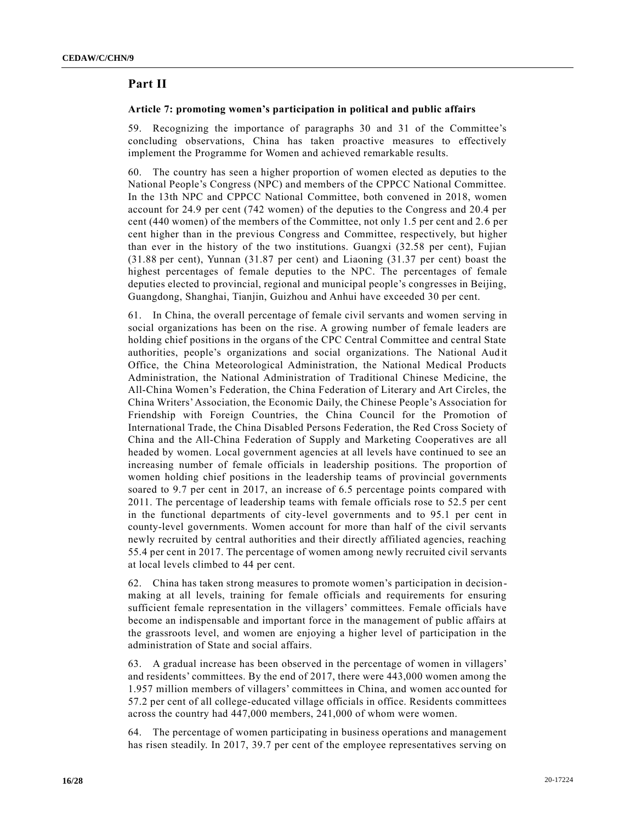# **Part II**

#### **Article 7: promoting women's participation in political and public affairs**

59. Recognizing the importance of paragraphs 30 and 31 of the Committee's concluding observations, China has taken proactive measures to effectively implement the Programme for Women and achieved remarkable results.

60. The country has seen a higher proportion of women elected as deputies to the National People's Congress (NPC) and members of the CPPCC National Committee. In the 13th NPC and CPPCC National Committee, both convened in 2018, women account for 24.9 per cent (742 women) of the deputies to the Congress and 20.4 per cent (440 women) of the members of the Committee, not only 1.5 per cent and 2.6 per cent higher than in the previous Congress and Committee, respectively, but higher than ever in the history of the two institutions. Guangxi (32.58 per cent), Fujian (31.88 per cent), Yunnan (31.87 per cent) and Liaoning (31.37 per cent) boast the highest percentages of female deputies to the NPC. The percentages of female deputies elected to provincial, regional and municipal people's congresses in Beijing, Guangdong, Shanghai, Tianjin, Guizhou and Anhui have exceeded 30 per cent.

61. In China, the overall percentage of female civil servants and women serving in social organizations has been on the rise. A growing number of female leaders are holding chief positions in the organs of the CPC Central Committee and central State authorities, people's organizations and social organizations. The National Audit Office, the China Meteorological Administration, the National Medical Products Administration, the National Administration of Traditional Chinese Medicine, the All-China Women's Federation, the China Federation of Literary and Art Circles, the China Writers' Association, the Economic Daily, the Chinese People's Association for Friendship with Foreign Countries, the China Council for the Promotion of International Trade, the China Disabled Persons Federation, the Red Cross Society of China and the All-China Federation of Supply and Marketing Cooperatives are all headed by women. Local government agencies at all levels have continued to see an increasing number of female officials in leadership positions. The proportion of women holding chief positions in the leadership teams of provincial governments soared to 9.7 per cent in 2017, an increase of 6.5 percentage points compared with 2011. The percentage of leadership teams with female officials rose to 52.5 per cent in the functional departments of city-level governments and to 95.1 per cent in county-level governments. Women account for more than half of the civil servants newly recruited by central authorities and their directly affiliated agencies, reaching 55.4 per cent in 2017. The percentage of women among newly recruited civil servants at local levels climbed to 44 per cent.

62. China has taken strong measures to promote women's participation in decisionmaking at all levels, training for female officials and requirements for ensuring sufficient female representation in the villagers' committees. Female officials have become an indispensable and important force in the management of public affairs at the grassroots level, and women are enjoying a higher level of participation in the administration of State and social affairs.

63. A gradual increase has been observed in the percentage of women in villagers' and residents' committees. By the end of 2017, there were 443,000 women among the 1.957 million members of villagers' committees in China, and women accounted for 57.2 per cent of all college-educated village officials in office. Residents committees across the country had 447,000 members, 241,000 of whom were women.

64. The percentage of women participating in business operations and management has risen steadily. In 2017, 39.7 per cent of the employee representatives serving on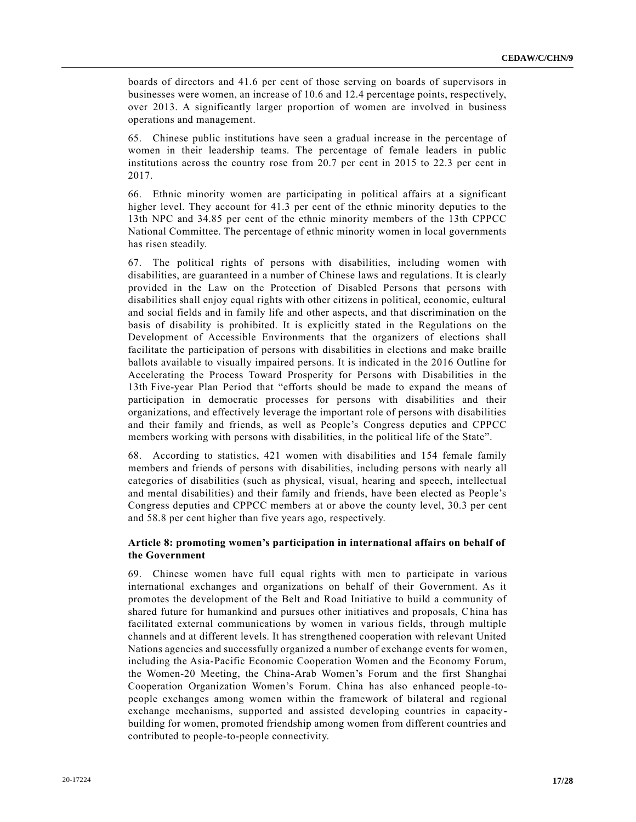boards of directors and 41.6 per cent of those serving on boards of supervisors in businesses were women, an increase of 10.6 and 12.4 percentage points, respectively, over 2013. A significantly larger proportion of women are involved in business operations and management.

65. Chinese public institutions have seen a gradual increase in the percentage of women in their leadership teams. The percentage of female leaders in public institutions across the country rose from 20.7 per cent in 2015 to 22.3 per cent in 2017.

66. Ethnic minority women are participating in political affairs at a significant higher level. They account for 41.3 per cent of the ethnic minority deputies to the 13th NPC and 34.85 per cent of the ethnic minority members of the 13th CPPCC National Committee. The percentage of ethnic minority women in local governments has risen steadily.

67. The political rights of persons with disabilities, including women with disabilities, are guaranteed in a number of Chinese laws and regulations. It is clearly provided in the Law on the Protection of Disabled Persons that persons with disabilities shall enjoy equal rights with other citizens in political, economic, cultural and social fields and in family life and other aspects, and that discrimination on the basis of disability is prohibited. It is explicitly stated in the Regulations on the Development of Accessible Environments that the organizers of elections shall facilitate the participation of persons with disabilities in elections and make braille ballots available to visually impaired persons. It is indicated in the 2016 Outline for Accelerating the Process Toward Prosperity for Persons with Disabilities in the 13th Five-year Plan Period that "efforts should be made to expand the means of participation in democratic processes for persons with disabilities and their organizations, and effectively leverage the important role of persons with disabilities and their family and friends, as well as People's Congress deputies and CPPCC members working with persons with disabilities, in the political life of the State".

68. According to statistics, 421 women with disabilities and 154 female family members and friends of persons with disabilities, including persons with nearly all categories of disabilities (such as physical, visual, hearing and speech, intellectual and mental disabilities) and their family and friends, have been elected as People's Congress deputies and CPPCC members at or above the county level, 30.3 per cent and 58.8 per cent higher than five years ago, respectively.

## **Article 8: promoting women's participation in international affairs on behalf of the Government**

69. Chinese women have full equal rights with men to participate in various international exchanges and organizations on behalf of their Government. As it promotes the development of the Belt and Road Initiative to build a community of shared future for humankind and pursues other initiatives and proposals, China has facilitated external communications by women in various fields, through multiple channels and at different levels. It has strengthened cooperation with relevant United Nations agencies and successfully organized a number of exchange events for women, including the Asia-Pacific Economic Cooperation Women and the Economy Forum, the Women-20 Meeting, the China-Arab Women's Forum and the first Shanghai Cooperation Organization Women's Forum. China has also enhanced people-topeople exchanges among women within the framework of bilateral and regional exchange mechanisms, supported and assisted developing countries in capacitybuilding for women, promoted friendship among women from different countries and contributed to people-to-people connectivity.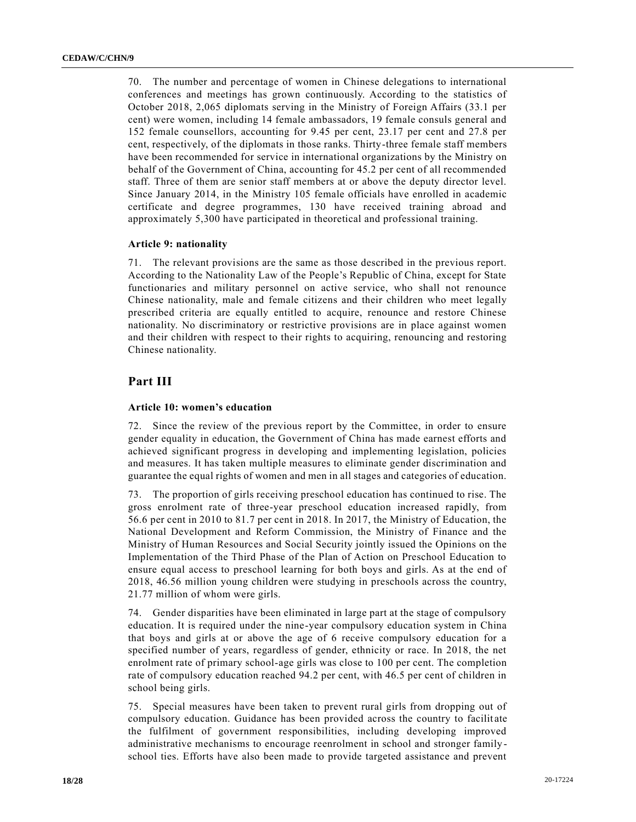70. The number and percentage of women in Chinese delegations to international conferences and meetings has grown continuously. According to the statistics of October 2018, 2,065 diplomats serving in the Ministry of Foreign Affairs (33.1 per cent) were women, including 14 female ambassadors, 19 female consuls general and 152 female counsellors, accounting for 9.45 per cent, 23.17 per cent and 27.8 per cent, respectively, of the diplomats in those ranks. Thirty-three female staff members have been recommended for service in international organizations by the Ministry on behalf of the Government of China, accounting for 45.2 per cent of all recommended staff. Three of them are senior staff members at or above the deputy director level. Since January 2014, in the Ministry 105 female officials have enrolled in academic certificate and degree programmes, 130 have received training abroad and approximately 5,300 have participated in theoretical and professional training.

#### **Article 9: nationality**

71. The relevant provisions are the same as those described in the previous report. According to the Nationality Law of the People's Republic of China, except for State functionaries and military personnel on active service, who shall not renounce Chinese nationality, male and female citizens and their children who meet legally prescribed criteria are equally entitled to acquire, renounce and restore Chinese nationality. No discriminatory or restrictive provisions are in place against women and their children with respect to their rights to acquiring, renouncing and restoring Chinese nationality.

## **Part III**

#### **Article 10: women's education**

72. Since the review of the previous report by the Committee, in order to ensure gender equality in education, the Government of China has made earnest efforts and achieved significant progress in developing and implementing legislation, policies and measures. It has taken multiple measures to eliminate gender discrimination and guarantee the equal rights of women and men in all stages and categories of education.

73. The proportion of girls receiving preschool education has continued to rise. The gross enrolment rate of three-year preschool education increased rapidly, from 56.6 per cent in 2010 to 81.7 per cent in 2018. In 2017, the Ministry of Education, the National Development and Reform Commission, the Ministry of Finance and the Ministry of Human Resources and Social Security jointly issued the Opinions on the Implementation of the Third Phase of the Plan of Action on Preschool Education to ensure equal access to preschool learning for both boys and girls. As at the end of 2018, 46.56 million young children were studying in preschools across the country, 21.77 million of whom were girls.

74. Gender disparities have been eliminated in large part at the stage of compulsory education. It is required under the nine-year compulsory education system in China that boys and girls at or above the age of 6 receive compulsory education for a specified number of years, regardless of gender, ethnicity or race. In 2018, the net enrolment rate of primary school-age girls was close to 100 per cent. The completion rate of compulsory education reached 94.2 per cent, with 46.5 per cent of children in school being girls.

75. Special measures have been taken to prevent rural girls from dropping out of compulsory education. Guidance has been provided across the country to facilit ate the fulfilment of government responsibilities, including developing improved administrative mechanisms to encourage reenrolment in school and stronger family school ties. Efforts have also been made to provide targeted assistance and prevent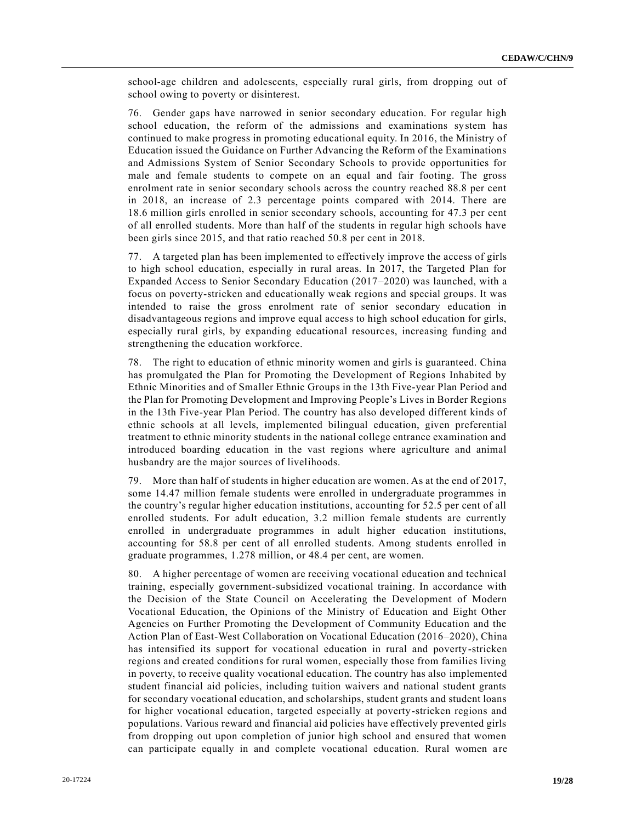school-age children and adolescents, especially rural girls, from dropping out of school owing to poverty or disinterest.

76. Gender gaps have narrowed in senior secondary education. For regular high school education, the reform of the admissions and examinations system has continued to make progress in promoting educational equity. In 2016, the Ministry of Education issued the Guidance on Further Advancing the Reform of the Examinations and Admissions System of Senior Secondary Schools to provide opportunities for male and female students to compete on an equal and fair footing. The gross enrolment rate in senior secondary schools across the country reached 88.8 per cent in 2018, an increase of 2.3 percentage points compared with 2014. There are 18.6 million girls enrolled in senior secondary schools, accounting for 47.3 per cent of all enrolled students. More than half of the students in regular high schools have been girls since 2015, and that ratio reached 50.8 per cent in 2018.

77. A targeted plan has been implemented to effectively improve the access of girls to high school education, especially in rural areas. In 2017, the Targeted Plan for Expanded Access to Senior Secondary Education (2017–2020) was launched, with a focus on poverty-stricken and educationally weak regions and special groups. It was intended to raise the gross enrolment rate of senior secondary education in disadvantageous regions and improve equal access to high school education for girls, especially rural girls, by expanding educational resources, increasing funding and strengthening the education workforce.

78. The right to education of ethnic minority women and girls is guaranteed. China has promulgated the Plan for Promoting the Development of Regions Inhabited by Ethnic Minorities and of Smaller Ethnic Groups in the 13th Five-year Plan Period and the Plan for Promoting Development and Improving People's Lives in Border Regions in the 13th Five-year Plan Period. The country has also developed different kinds of ethnic schools at all levels, implemented bilingual education, given preferential treatment to ethnic minority students in the national college entrance examination and introduced boarding education in the vast regions where agriculture and animal husbandry are the major sources of livelihoods.

79. More than half of students in higher education are women. As at the end of 2017, some 14.47 million female students were enrolled in undergraduate programmes in the country's regular higher education institutions, accounting for 52.5 per cent of all enrolled students. For adult education, 3.2 million female students are currently enrolled in undergraduate programmes in adult higher education institutions, accounting for 58.8 per cent of all enrolled students. Among students enrolled in graduate programmes, 1.278 million, or 48.4 per cent, are women.

80. A higher percentage of women are receiving vocational education and technical training, especially government-subsidized vocational training. In accordance with the Decision of the State Council on Accelerating the Development of Modern Vocational Education, the Opinions of the Ministry of Education and Eight Other Agencies on Further Promoting the Development of Community Education and the Action Plan of East-West Collaboration on Vocational Education (2016–2020), China has intensified its support for vocational education in rural and poverty-stricken regions and created conditions for rural women, especially those from families living in poverty, to receive quality vocational education. The country has also implemented student financial aid policies, including tuition waivers and national student grants for secondary vocational education, and scholarships, student grants and student loans for higher vocational education, targeted especially at poverty-stricken regions and populations. Various reward and financial aid policies have effectively prevented girls from dropping out upon completion of junior high school and ensured that women can participate equally in and complete vocational education. Rural women a re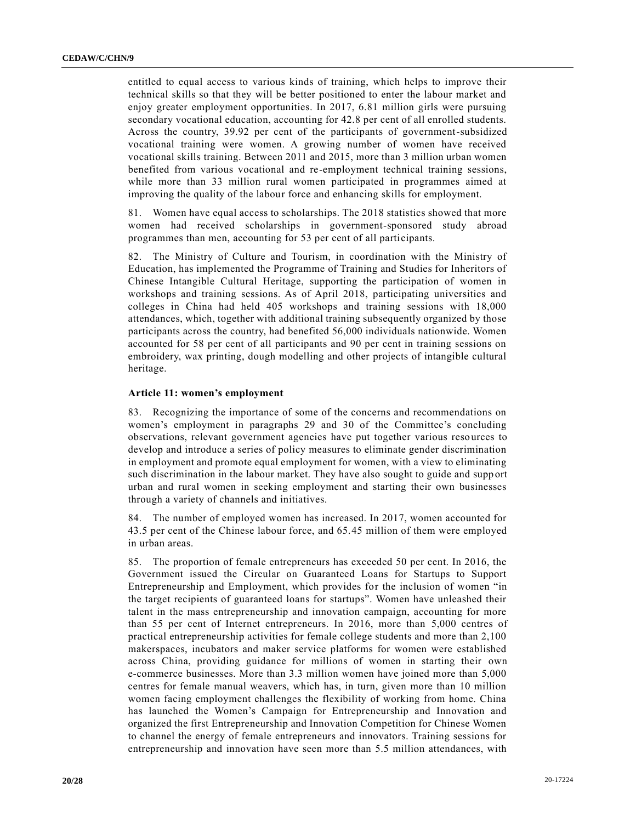entitled to equal access to various kinds of training, which helps to improve their technical skills so that they will be better positioned to enter the labour market and enjoy greater employment opportunities. In 2017, 6.81 million girls were pursuing secondary vocational education, accounting for 42.8 per cent of all enrolled students. Across the country, 39.92 per cent of the participants of government-subsidized vocational training were women. A growing number of women have received vocational skills training. Between 2011 and 2015, more than 3 million urban women benefited from various vocational and re-employment technical training sessions, while more than 33 million rural women participated in programmes aimed at improving the quality of the labour force and enhancing skills for employment.

81. Women have equal access to scholarships. The 2018 statistics showed that more women had received scholarships in government-sponsored study abroad programmes than men, accounting for 53 per cent of all participants.

82. The Ministry of Culture and Tourism, in coordination with the Ministry of Education, has implemented the Programme of Training and Studies for Inheritors of Chinese Intangible Cultural Heritage, supporting the participation of women in workshops and training sessions. As of April 2018, participating universities and colleges in China had held 405 workshops and training sessions with 18,000 attendances, which, together with additional training subsequently organized by those participants across the country, had benefited 56,000 individuals nationwide. Women accounted for 58 per cent of all participants and 90 per cent in training sessions on embroidery, wax printing, dough modelling and other projects of intangible cultural heritage.

#### **Article 11: women's employment**

83. Recognizing the importance of some of the concerns and recommendations on women's employment in paragraphs 29 and 30 of the Committee's concluding observations, relevant government agencies have put together various resources to develop and introduce a series of policy measures to eliminate gender discrimination in employment and promote equal employment for women, with a view to eliminating such discrimination in the labour market. They have also sought to guide and supp ort urban and rural women in seeking employment and starting their own businesses through a variety of channels and initiatives.

84. The number of employed women has increased. In 2017, women accounted for 43.5 per cent of the Chinese labour force, and 65.45 million of them were employed in urban areas.

85. The proportion of female entrepreneurs has exceeded 50 per cent. In 2016, the Government issued the Circular on Guaranteed Loans for Startups to Support Entrepreneurship and Employment, which provides for the inclusion of women "in the target recipients of guaranteed loans for startups". Women have unleashed their talent in the mass entrepreneurship and innovation campaign, accounting for more than 55 per cent of Internet entrepreneurs. In 2016, more than 5,000 centres of practical entrepreneurship activities for female college students and more than 2,100 makerspaces, incubators and maker service platforms for women were established across China, providing guidance for millions of women in starting their own e-commerce businesses. More than 3.3 million women have joined more than 5,000 centres for female manual weavers, which has, in turn, given more than 10 million women facing employment challenges the flexibility of working from home. China has launched the Women's Campaign for Entrepreneurship and Innovation and organized the first Entrepreneurship and Innovation Competition for Chinese Women to channel the energy of female entrepreneurs and innovators. Training sessions for entrepreneurship and innovation have seen more than 5.5 million attendances, with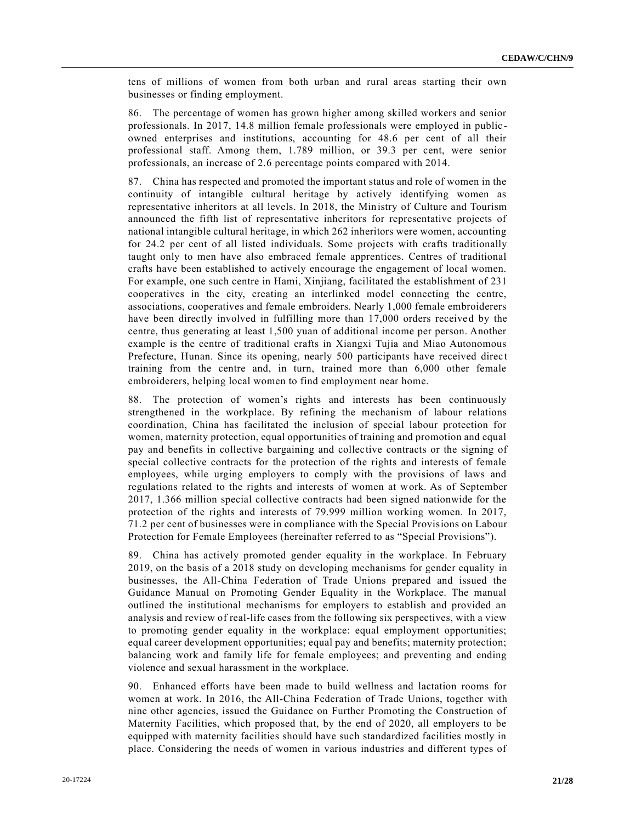tens of millions of women from both urban and rural areas starting their own businesses or finding employment.

86. The percentage of women has grown higher among skilled workers and senior professionals. In 2017, 14.8 million female professionals were employed in public owned enterprises and institutions, accounting for 48.6 per cent of all their professional staff. Among them, 1.789 million, or 39.3 per cent, were senior professionals, an increase of 2.6 percentage points compared with 2014.

87. China has respected and promoted the important status and role of women in the continuity of intangible cultural heritage by actively identifying women as representative inheritors at all levels. In 2018, the Ministry of Culture and Tourism announced the fifth list of representative inheritors for representative projects of national intangible cultural heritage, in which 262 inheritors were women, accounting for 24.2 per cent of all listed individuals. Some projects with crafts traditionally taught only to men have also embraced female apprentices. Centres of traditional crafts have been established to actively encourage the engagement of local women. For example, one such centre in Hami, Xinjiang, facilitated the establishment of 231 cooperatives in the city, creating an interlinked model connecting the centre, associations, cooperatives and female embroiders. Nearly 1,000 female embroiderers have been directly involved in fulfilling more than 17,000 orders received by the centre, thus generating at least 1,500 yuan of additional income per person. Another example is the centre of traditional crafts in Xiangxi Tujia and Miao Autonomous Prefecture, Hunan. Since its opening, nearly 500 participants have received direct training from the centre and, in turn, trained more than 6,000 other female embroiderers, helping local women to find employment near home.

88. The protection of women's rights and interests has been continuously strengthened in the workplace. By refining the mechanism of labour relations coordination, China has facilitated the inclusion of special labour protection for women, maternity protection, equal opportunities of training and promotion and equal pay and benefits in collective bargaining and collective contracts or the signing of special collective contracts for the protection of the rights and interests of female employees, while urging employers to comply with the provisions of laws and regulations related to the rights and interests of women at work. As of September 2017, 1.366 million special collective contracts had been signed nationwide for the protection of the rights and interests of 79.999 million working women. In 2017, 71.2 per cent of businesses were in compliance with the Special Provisions on Labour Protection for Female Employees (hereinafter referred to as "Special Provisions").

89. China has actively promoted gender equality in the workplace. In February 2019, on the basis of a 2018 study on developing mechanisms for gender equality in businesses, the All-China Federation of Trade Unions prepared and issued the Guidance Manual on Promoting Gender Equality in the Workplace. The manual outlined the institutional mechanisms for employers to establish and provided an analysis and review of real-life cases from the following six perspectives, with a view to promoting gender equality in the workplace: equal employment opportunities; equal career development opportunities; equal pay and benefits; maternity protection; balancing work and family life for female employees; and preventing and ending violence and sexual harassment in the workplace.

90. Enhanced efforts have been made to build wellness and lactation rooms for women at work. In 2016, the All-China Federation of Trade Unions, together with nine other agencies, issued the Guidance on Further Promoting the Construction of Maternity Facilities, which proposed that, by the end of 2020, all employers to be equipped with maternity facilities should have such standardized facilities mostly in place. Considering the needs of women in various industries and different types of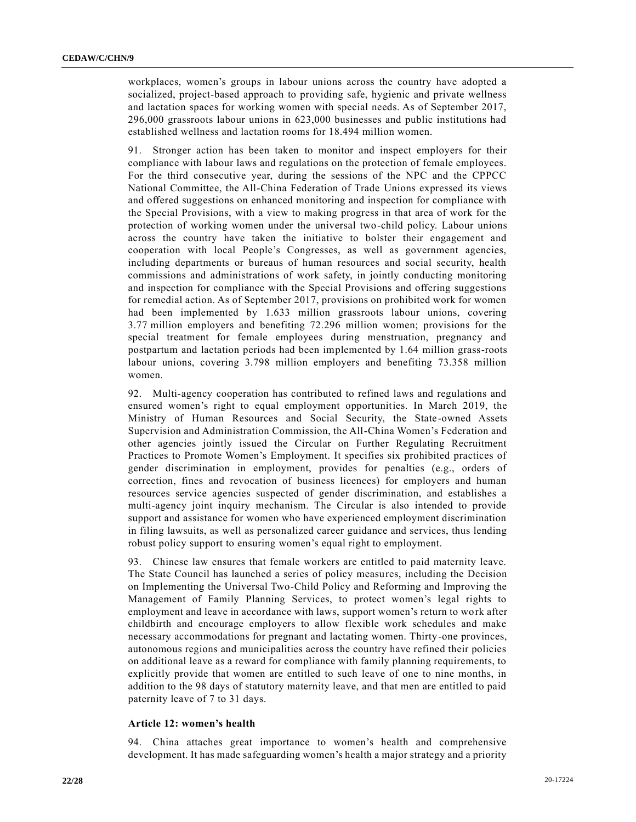workplaces, women's groups in labour unions across the country have adopted a socialized, project-based approach to providing safe, hygienic and private wellness and lactation spaces for working women with special needs. As of September 2017, 296,000 grassroots labour unions in 623,000 businesses and public institutions had established wellness and lactation rooms for 18.494 million women.

91. Stronger action has been taken to monitor and inspect employers for their compliance with labour laws and regulations on the protection of female employees. For the third consecutive year, during the sessions of the NPC and the CPPCC National Committee, the All-China Federation of Trade Unions expressed its views and offered suggestions on enhanced monitoring and inspection for compliance with the Special Provisions, with a view to making progress in that area of work for the protection of working women under the universal two-child policy. Labour unions across the country have taken the initiative to bolster their engagement and cooperation with local People's Congresses, as well as government agencies, including departments or bureaus of human resources and social security, health commissions and administrations of work safety, in jointly conducting monitoring and inspection for compliance with the Special Provisions and offering suggestions for remedial action. As of September 2017, provisions on prohibited work for women had been implemented by 1.633 million grassroots labour unions, covering 3.77 million employers and benefiting 72.296 million women; provisions for the special treatment for female employees during menstruation, pregnancy and postpartum and lactation periods had been implemented by 1.64 million grass-roots labour unions, covering 3.798 million employers and benefiting 73.358 million women.

92. Multi-agency cooperation has contributed to refined laws and regulations and ensured women's right to equal employment opportunities. In March 2019, the Ministry of Human Resources and Social Security, the State-owned Assets Supervision and Administration Commission, the All-China Women's Federation and other agencies jointly issued the Circular on Further Regulating Recruitment Practices to Promote Women's Employment. It specifies six prohibited practices of gender discrimination in employment, provides for penalties (e.g., orders of correction, fines and revocation of business licences) for employers and human resources service agencies suspected of gender discrimination, and establishes a multi-agency joint inquiry mechanism. The Circular is also intended to provide support and assistance for women who have experienced employment discrimination in filing lawsuits, as well as personalized career guidance and services, thus lending robust policy support to ensuring women's equal right to employment.

93. Chinese law ensures that female workers are entitled to paid maternity leave. The State Council has launched a series of policy measures, including the Decision on Implementing the Universal Two-Child Policy and Reforming and Improving the Management of Family Planning Services, to protect women's legal rights to employment and leave in accordance with laws, support women's return to work after childbirth and encourage employers to allow flexible work schedules and make necessary accommodations for pregnant and lactating women. Thirty-one provinces, autonomous regions and municipalities across the country have refined their policies on additional leave as a reward for compliance with family planning requirements, to explicitly provide that women are entitled to such leave of one to nine months, in addition to the 98 days of statutory maternity leave, and that men are entitled to paid paternity leave of 7 to 31 days.

#### **Article 12: women's health**

94. China attaches great importance to women's health and comprehensive development. It has made safeguarding women's health a major strategy and a priority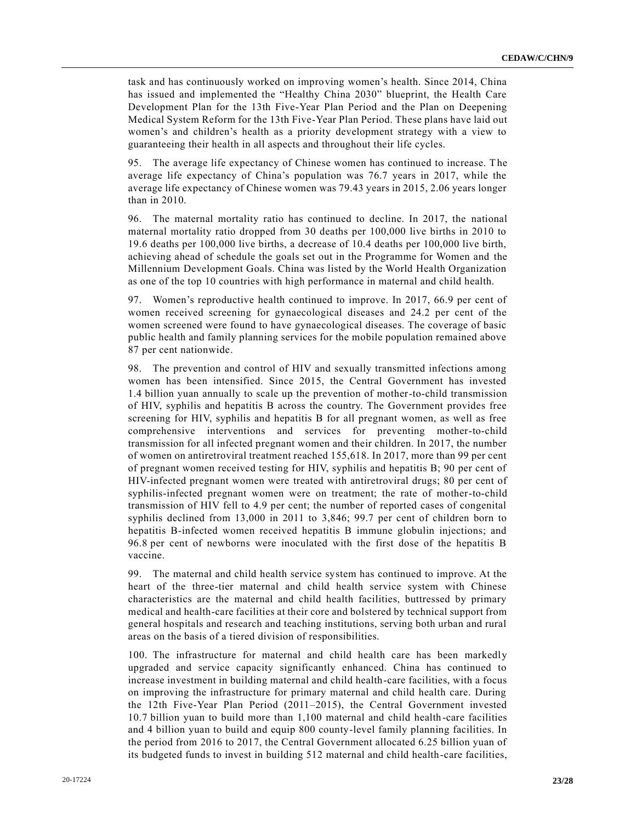task and has continuously worked on improving women's health. Since 2014, China has issued and implemented the "Healthy China 2030" blueprint, the Health Care Development Plan for the 13th Five-Year Plan Period and the Plan on Deepening Medical System Reform for the 13th Five-Year Plan Period. These plans have laid out women's and children's health as a priority development strategy with a view to guaranteeing their health in all aspects and throughout their life cycles.

95. The average life expectancy of Chinese women has continued to increase. The average life expectancy of China's population was 76.7 years in 2017, while the average life expectancy of Chinese women was 79.43 years in 2015, 2.06 years longer than in 2010.

96. The maternal mortality ratio has continued to decline. In 2017, the national maternal mortality ratio dropped from 30 deaths per 100,000 live births in 2010 to 19.6 deaths per 100,000 live births, a decrease of 10.4 deaths per 100,000 live birth, achieving ahead of schedule the goals set out in the Programme for Women and the Millennium Development Goals. China was listed by the World Health Organization as one of the top 10 countries with high performance in maternal and child health.

97. Women's reproductive health continued to improve. In 2017, 66.9 per cent of women received screening for gynaecological diseases and 24.2 per cent of the women screened were found to have gynaecological diseases. The coverage of basic public health and family planning services for the mobile population remained above 87 per cent nationwide.

98. The prevention and control of HIV and sexually transmitted infections among women has been intensified. Since 2015, the Central Government has invested 1.4 billion yuan annually to scale up the prevention of mother-to-child transmission of HIV, syphilis and hepatitis B across the country. The Government provides free screening for HIV, syphilis and hepatitis B for all pregnant women, as well as free comprehensive interventions and services for preventing mother-to-child transmission for all infected pregnant women and their children. In 2017, the number of women on antiretroviral treatment reached 155,618. In 2017, more than 99 per cent of pregnant women received testing for HIV, syphilis and hepatitis B; 90 per cent of HIV-infected pregnant women were treated with antiretroviral drugs; 80 per cent of syphilis-infected pregnant women were on treatment; the rate of mother-to-child transmission of HIV fell to 4.9 per cent; the number of reported cases of congenital syphilis declined from 13,000 in 2011 to 3,846; 99.7 per cent of children born to hepatitis B-infected women received hepatitis B immune globulin injections; and 96.8 per cent of newborns were inoculated with the first dose of the hepatitis B vaccine.

99. The maternal and child health service system has continued to improve. At the heart of the three-tier maternal and child health service system with Chinese characteristics are the maternal and child health facilities, buttressed by primary medical and health-care facilities at their core and bolstered by technical support from general hospitals and research and teaching institutions, serving both urban and rural areas on the basis of a tiered division of responsibilities.

100. The infrastructure for maternal and child health care has been markedly upgraded and service capacity significantly enhanced. China has continued to increase investment in building maternal and child health-care facilities, with a focus on improving the infrastructure for primary maternal and child health care. During the 12th Five-Year Plan Period (2011–2015), the Central Government invested 10.7 billion yuan to build more than 1,100 maternal and child health-care facilities and 4 billion yuan to build and equip 800 county-level family planning facilities. In the period from 2016 to 2017, the Central Government allocated 6.25 billion yuan of its budgeted funds to invest in building 512 maternal and child health-care facilities,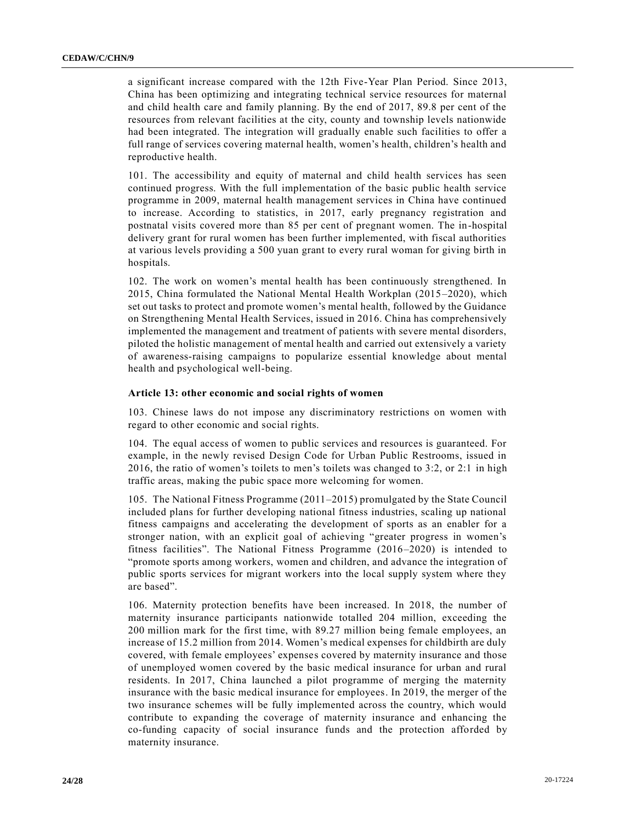a significant increase compared with the 12th Five-Year Plan Period. Since 2013, China has been optimizing and integrating technical service resources for maternal and child health care and family planning. By the end of 2017, 89.8 per cent of the resources from relevant facilities at the city, county and township levels nationwide had been integrated. The integration will gradually enable such facilities to offer a full range of services covering maternal health, women's health, children's health and reproductive health.

101. The accessibility and equity of maternal and child health services has seen continued progress. With the full implementation of the basic public health service programme in 2009, maternal health management services in China have continued to increase. According to statistics, in 2017, early pregnancy registration and postnatal visits covered more than 85 per cent of pregnant women. The in-hospital delivery grant for rural women has been further implemented, with fiscal authorities at various levels providing a 500 yuan grant to every rural woman for giving birth in hospitals.

102. The work on women's mental health has been continuously strengthened. In 2015, China formulated the National Mental Health Workplan (2015–2020), which set out tasks to protect and promote women's mental health, followed by the Guidance on Strengthening Mental Health Services, issued in 2016. China has comprehensively implemented the management and treatment of patients with severe mental disorders, piloted the holistic management of mental health and carried out extensively a variety of awareness-raising campaigns to popularize essential knowledge about mental health and psychological well-being.

#### **Article 13: other economic and social rights of women**

103. Chinese laws do not impose any discriminatory restrictions on women with regard to other economic and social rights.

104. The equal access of women to public services and resources is guaranteed. For example, in the newly revised Design Code for Urban Public Restrooms, issued in 2016, the ratio of women's toilets to men's toilets was changed to 3:2, or 2:1 in high traffic areas, making the pubic space more welcoming for women.

105. The National Fitness Programme (2011–2015) promulgated by the State Council included plans for further developing national fitness industries, scaling up national fitness campaigns and accelerating the development of sports as an enabler for a stronger nation, with an explicit goal of achieving "greater progress in women's fitness facilities". The National Fitness Programme (2016–2020) is intended to "promote sports among workers, women and children, and advance the integration of public sports services for migrant workers into the local supply system where they are based".

106. Maternity protection benefits have been increased. In 2018, the number of maternity insurance participants nationwide totalled 204 million, exceeding the 200 million mark for the first time, with 89.27 million being female employees, an increase of 15.2 million from 2014. Women's medical expenses for childbirth are duly covered, with female employees' expenses covered by maternity insurance and those of unemployed women covered by the basic medical insurance for urban and rural residents. In 2017, China launched a pilot programme of merging the maternity insurance with the basic medical insurance for employees. In 2019, the merger of the two insurance schemes will be fully implemented across the country, which would contribute to expanding the coverage of maternity insurance and enhancing the co-funding capacity of social insurance funds and the protection afforded by maternity insurance.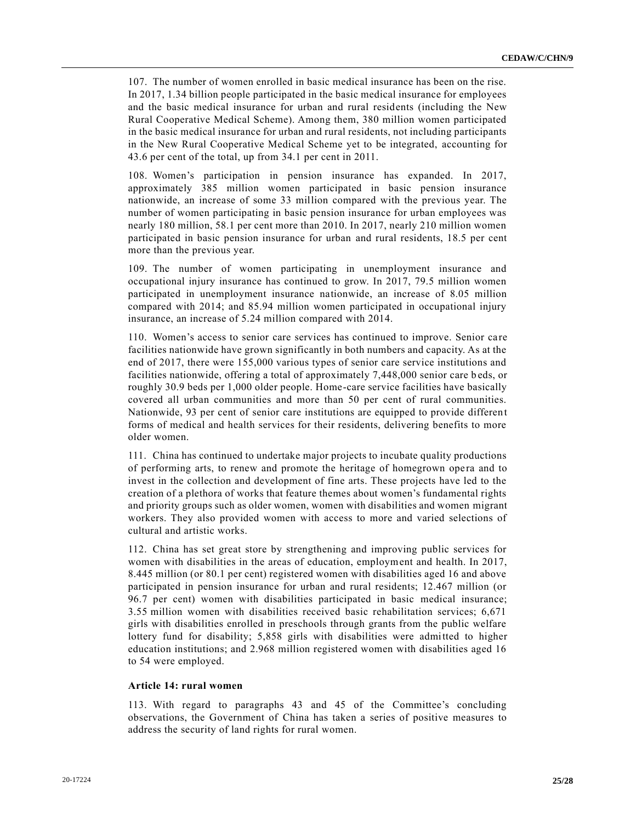107. The number of women enrolled in basic medical insurance has been on the rise. In 2017, 1.34 billion people participated in the basic medical insurance for employees and the basic medical insurance for urban and rural residents (including the New Rural Cooperative Medical Scheme). Among them, 380 million women participated in the basic medical insurance for urban and rural residents, not including participants in the New Rural Cooperative Medical Scheme yet to be integrated, accounting for 43.6 per cent of the total, up from 34.1 per cent in 2011.

108. Women's participation in pension insurance has expanded. In 2017, approximately 385 million women participated in basic pension insurance nationwide, an increase of some 33 million compared with the previous year. The number of women participating in basic pension insurance for urban employees was nearly 180 million, 58.1 per cent more than 2010. In 2017, nearly 210 million women participated in basic pension insurance for urban and rural residents, 18.5 per cent more than the previous year.

109. The number of women participating in unemployment insurance and occupational injury insurance has continued to grow. In 2017, 79.5 million women participated in unemployment insurance nationwide, an increase of 8.05 million compared with 2014; and 85.94 million women participated in occupational injury insurance, an increase of 5.24 million compared with 2014.

110. Women's access to senior care services has continued to improve. Senior care facilities nationwide have grown significantly in both numbers and capacity. As at the end of 2017, there were 155,000 various types of senior care service institutions and facilities nationwide, offering a total of approximately 7,448,000 senior care b eds, or roughly 30.9 beds per 1,000 older people. Home-care service facilities have basically covered all urban communities and more than 50 per cent of rural communities. Nationwide, 93 per cent of senior care institutions are equipped to provide differen t forms of medical and health services for their residents, delivering benefits to more older women.

111. China has continued to undertake major projects to incubate quality productions of performing arts, to renew and promote the heritage of homegrown ope ra and to invest in the collection and development of fine arts. These projects have led to the creation of a plethora of works that feature themes about women's fundamental rights and priority groups such as older women, women with disabilities and women migrant workers. They also provided women with access to more and varied selections of cultural and artistic works.

112. China has set great store by strengthening and improving public services for women with disabilities in the areas of education, employment and health. In 2017, 8.445 million (or 80.1 per cent) registered women with disabilities aged 16 and above participated in pension insurance for urban and rural residents; 12.467 million (or 96.7 per cent) women with disabilities participated in basic medical insurance; 3.55 million women with disabilities received basic rehabilitation services; 6,671 girls with disabilities enrolled in preschools through grants from the public welfare lottery fund for disability; 5,858 girls with disabilities were admitted to higher education institutions; and 2.968 million registered women with disabilities aged 16 to 54 were employed.

#### **Article 14: rural women**

113. With regard to paragraphs 43 and 45 of the Committee's concluding observations, the Government of China has taken a series of positive measures to address the security of land rights for rural women.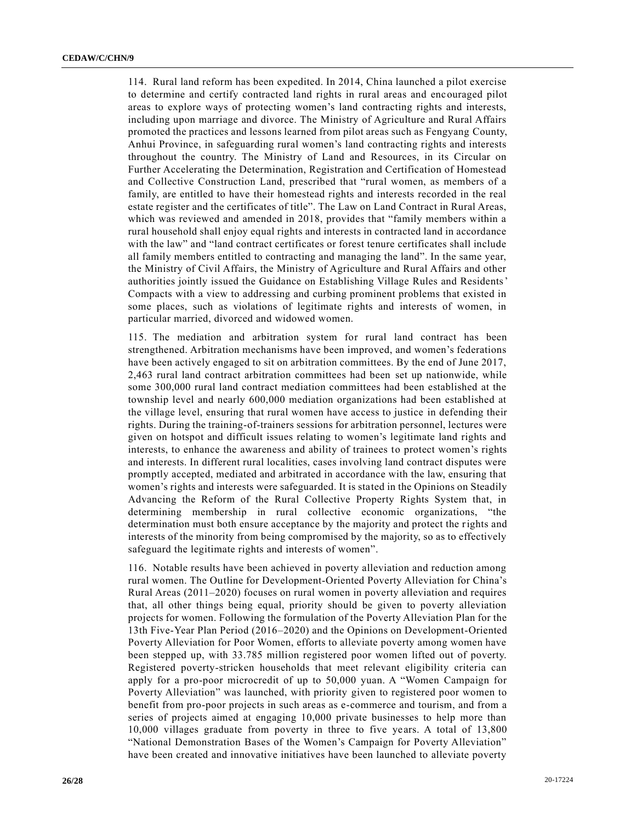114. Rural land reform has been expedited. In 2014, China launched a pilot exercise to determine and certify contracted land rights in rural areas and encouraged pilot areas to explore ways of protecting women's land contracting rights and interests, including upon marriage and divorce. The Ministry of Agriculture and Rural Affairs promoted the practices and lessons learned from pilot areas such as Fengyang County, Anhui Province, in safeguarding rural women's land contracting rights and interests throughout the country. The Ministry of Land and Resources, in its Circular on Further Accelerating the Determination, Registration and Certification of Homestead and Collective Construction Land, prescribed that "rural women, as members of a family, are entitled to have their homestead rights and interests recorded in the real estate register and the certificates of title". The Law on Land Contract in Rural Areas, which was reviewed and amended in 2018, provides that "family members within a rural household shall enjoy equal rights and interests in contracted land in accordance with the law" and "land contract certificates or forest tenure certificates shall include all family members entitled to contracting and managing the land". In the same year, the Ministry of Civil Affairs, the Ministry of Agriculture and Rural Affairs and other authorities jointly issued the Guidance on Establishing Village Rules and Residents' Compacts with a view to addressing and curbing prominent problems that existed in some places, such as violations of legitimate rights and interests of women, in particular married, divorced and widowed women.

115. The mediation and arbitration system for rural land contract has been strengthened. Arbitration mechanisms have been improved, and women's federations have been actively engaged to sit on arbitration committees. By the end of June 2017, 2,463 rural land contract arbitration committees had been set up nationwide, while some 300,000 rural land contract mediation committees had been established at the township level and nearly 600,000 mediation organizations had been established at the village level, ensuring that rural women have access to justice in defending their rights. During the training-of-trainers sessions for arbitration personnel, lectures were given on hotspot and difficult issues relating to women's legitimate land rights and interests, to enhance the awareness and ability of trainees to protect women's rights and interests. In different rural localities, cases involving land contract disputes were promptly accepted, mediated and arbitrated in accordance with the law, ensuring that women's rights and interests were safeguarded. It is stated in the Opinions on Steadily Advancing the Reform of the Rural Collective Property Rights System that, in determining membership in rural collective economic organizations, "the determination must both ensure acceptance by the majority and protect the rights and interests of the minority from being compromised by the majority, so as to effectively safeguard the legitimate rights and interests of women".

116. Notable results have been achieved in poverty alleviation and reduction among rural women. The Outline for Development-Oriented Poverty Alleviation for China's Rural Areas (2011–2020) focuses on rural women in poverty alleviation and requires that, all other things being equal, priority should be given to poverty alleviation projects for women. Following the formulation of the Poverty Alleviation Plan for the 13th Five-Year Plan Period (2016–2020) and the Opinions on Development-Oriented Poverty Alleviation for Poor Women, efforts to alleviate poverty among women have been stepped up, with 33.785 million registered poor women lifted out of poverty. Registered poverty-stricken households that meet relevant eligibility criteria can apply for a pro-poor microcredit of up to 50,000 yuan. A "Women Campaign for Poverty Alleviation" was launched, with priority given to registered poor women to benefit from pro-poor projects in such areas as e-commerce and tourism, and from a series of projects aimed at engaging 10,000 private businesses to help more than 10,000 villages graduate from poverty in three to five years. A total of 13,800 "National Demonstration Bases of the Women's Campaign for Poverty Alleviation" have been created and innovative initiatives have been launched to alleviate poverty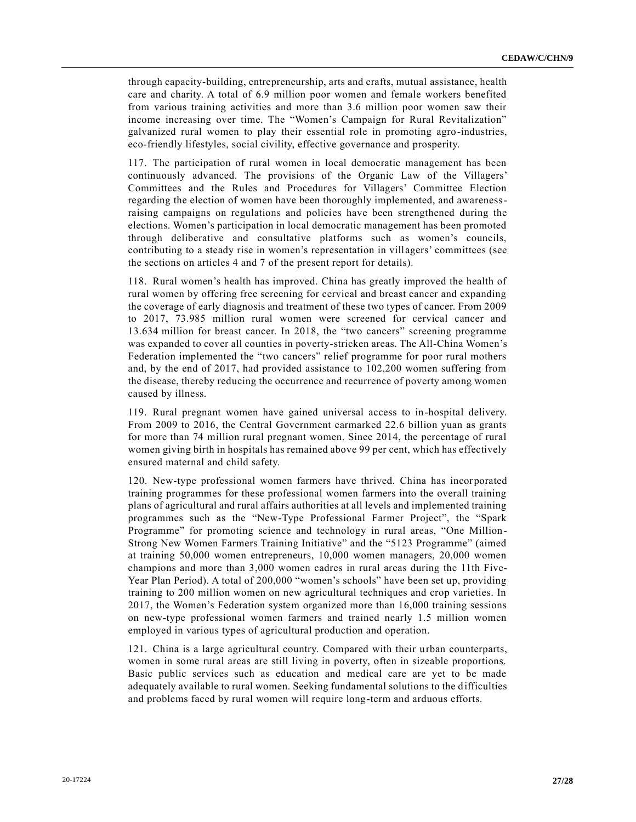through capacity-building, entrepreneurship, arts and crafts, mutual assistance, health care and charity. A total of 6.9 million poor women and female workers benefited from various training activities and more than 3.6 million poor women saw their income increasing over time. The "Women's Campaign for Rural Revitalization" galvanized rural women to play their essential role in promoting agro-industries, eco-friendly lifestyles, social civility, effective governance and prosperity.

117. The participation of rural women in local democratic management has been continuously advanced. The provisions of the Organic Law of the Villagers' Committees and the Rules and Procedures for Villagers' Committee Election regarding the election of women have been thoroughly implemented, and awarenessraising campaigns on regulations and policies have been strengthened during the elections. Women's participation in local democratic management has been promoted through deliberative and consultative platforms such as women's councils, contributing to a steady rise in women's representation in villagers' committees (see the sections on articles 4 and 7 of the present report for details).

118. Rural women's health has improved. China has greatly improved the health of rural women by offering free screening for cervical and breast cancer and expanding the coverage of early diagnosis and treatment of these two types of cancer. From 2009 to 2017, 73.985 million rural women were screened for cervical cancer and 13.634 million for breast cancer. In 2018, the "two cancers" screening programme was expanded to cover all counties in poverty-stricken areas. The All-China Women's Federation implemented the "two cancers" relief programme for poor rural mothers and, by the end of 2017, had provided assistance to 102,200 women suffering from the disease, thereby reducing the occurrence and recurrence of poverty among women caused by illness.

119. Rural pregnant women have gained universal access to in-hospital delivery. From 2009 to 2016, the Central Government earmarked 22.6 billion yuan as grants for more than 74 million rural pregnant women. Since 2014, the percentage of rural women giving birth in hospitals has remained above 99 per cent, which has effectively ensured maternal and child safety.

120. New-type professional women farmers have thrived. China has incorporated training programmes for these professional women farmers into the overall training plans of agricultural and rural affairs authorities at all levels and implemented training programmes such as the "New-Type Professional Farmer Project", the "Spark Programme" for promoting science and technology in rural areas, "One Million-Strong New Women Farmers Training Initiative" and the "5123 Programme" (aimed at training 50,000 women entrepreneurs, 10,000 women managers, 20,000 women champions and more than 3,000 women cadres in rural areas during the 11th Five-Year Plan Period). A total of 200,000 "women's schools" have been set up, providing training to 200 million women on new agricultural techniques and crop varieties. In 2017, the Women's Federation system organized more than 16,000 training sessions on new-type professional women farmers and trained nearly 1.5 million women employed in various types of agricultural production and operation.

121. China is a large agricultural country. Compared with their urban counterparts, women in some rural areas are still living in poverty, often in sizeable proportions. Basic public services such as education and medical care are yet to be made adequately available to rural women. Seeking fundamental solutions to the difficulties and problems faced by rural women will require long-term and arduous efforts.